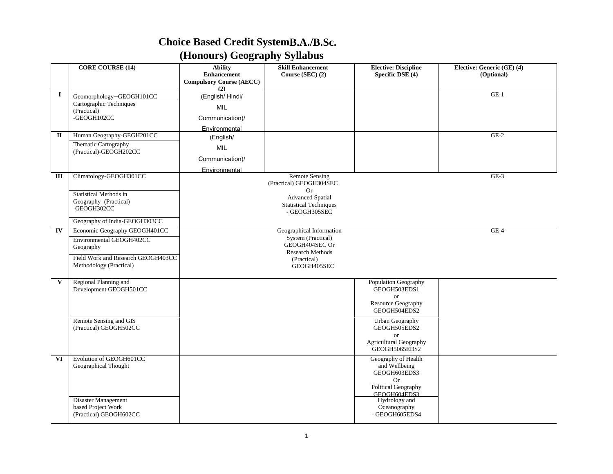## **Choice Based Credit SystemB.A./B.Sc. (Honours) Geography Syllabus**

|                         | <b>CORE COURSE (14)</b>                                                                                                                 | <b>Ability</b><br><b>Enhancement</b><br><b>Compulsory Course (AECC)</b><br>(2) | <b>Skill Enhancement</b><br>Course (SEC) (2)                                                                              | <b>Elective: Discipline</b><br>Specific DSE (4)                                                                                         | Elective: Generic (GE) (4)<br>(Optional) |
|-------------------------|-----------------------------------------------------------------------------------------------------------------------------------------|--------------------------------------------------------------------------------|---------------------------------------------------------------------------------------------------------------------------|-----------------------------------------------------------------------------------------------------------------------------------------|------------------------------------------|
| $\mathbf I$             | Geomorphology-GEOGH101CC<br>Cartographic Techniques<br>(Practical)<br>-GEOGH102CC                                                       | (English/Hindi/<br><b>MIL</b><br>Communication)/<br>Environmental              |                                                                                                                           |                                                                                                                                         | $GE-1$                                   |
| $\mathbf{I}$            | Human Geography-GEGH201CC                                                                                                               | (English/                                                                      |                                                                                                                           |                                                                                                                                         | $GE-2$                                   |
|                         | Thematic Cartography<br>(Practical)-GEOGH202CC                                                                                          | <b>MIL</b><br>Communication)/<br>Environmental                                 |                                                                                                                           |                                                                                                                                         |                                          |
| Ш                       | Climatology-GEOGH301CC                                                                                                                  |                                                                                | <b>Remote Sensing</b><br>(Practical) GEOGH304SEC<br><b>Or</b>                                                             |                                                                                                                                         | $GE-3$                                   |
|                         | <b>Statistical Methods in</b><br>Geography (Practical)<br>-GEOGH302CC                                                                   |                                                                                | <b>Advanced Spatial</b><br><b>Statistical Techniques</b><br>- GEOGH305SEC                                                 |                                                                                                                                         |                                          |
|                         | Geography of India-GEOGH303CC                                                                                                           |                                                                                |                                                                                                                           |                                                                                                                                         |                                          |
| IV                      | Economic Geography GEOGH401CC<br>Environmental GEOGH402CC<br>Geography<br>Field Work and Research GEOGH403CC<br>Methodology (Practical) |                                                                                | Geographical Information<br>System (Practical)<br>GEOGH404SEC Or<br><b>Research Methods</b><br>(Practical)<br>GEOGH405SEC |                                                                                                                                         | $GE-4$                                   |
| $\mathbf{V}$            | Regional Planning and<br>Development GEOGH501CC<br>Remote Sensing and GIS<br>(Practical) GEOGH502CC                                     |                                                                                |                                                                                                                           | Population Geography<br>GEOGH503EDS1<br><b>or</b><br>Resource Geography<br>GEOGH504EDS2<br>Urban Geography<br>GEOGH505EDS2<br><b>or</b> |                                          |
|                         |                                                                                                                                         |                                                                                |                                                                                                                           | Agricultural Geography<br>GEOGH5065EDS2                                                                                                 |                                          |
| $\overline{\mathbf{v}}$ | Evolution of GEOGH601CC<br>Geographical Thought                                                                                         |                                                                                |                                                                                                                           | Geography of Health<br>and Wellbeing<br>GEOGH603EDS3<br><b>Or</b><br>Political Geography<br>GEOGH604EDS3                                |                                          |
|                         | Disaster Management<br>based Project Work<br>(Practical) GEOGH602CC                                                                     |                                                                                |                                                                                                                           | Hydrology and<br>Oceanography<br>- GEOGH605EDS4                                                                                         |                                          |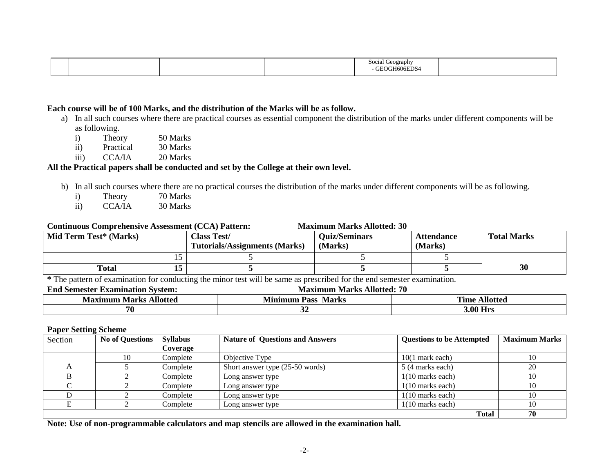|  |  | .raphy |  |
|--|--|--------|--|

#### **Each course will be of 100 Marks, and the distribution of the Marks will be as follow.**

- a) In all such courses where there are practical courses as essential component the distribution of the marks under different components will be as following.
	- i) Theory 50 Marks<br>ii) Practical 30 Marks
	- Practical 30 Marks
	- iii) CCA/IA 20 Marks

#### **All the Practical papers shall be conducted and set by the College at their own level.**

- b) In all such courses where there are no practical courses the distribution of the marks under different components will be as following.
	- i) Theory 70 Marks
	- ii) CCA/IA 30 Marks

#### **Continuous Comprehensive Assessment (CCA) Pattern: Maximum Marks Allotted: 30**

| <b>Mid Term Test* (Marks)</b> | <b>Class Test/</b><br><b>Tutorials/Assignments (Marks)</b> | <b>Ouiz/Seminars</b><br>(Marks) | <b>Attendance</b><br>(Marks) | <b>Total Marks</b> |
|-------------------------------|------------------------------------------------------------|---------------------------------|------------------------------|--------------------|
|                               |                                                            |                                 |                              |                    |
| <b>Total</b>                  |                                                            |                                 |                              | 30                 |

**\*** The pattern of examination for conducting the minor test will be same as prescribed for the end semester examination.

#### **End Semester Examination System: Maximum Marks Allotted: 70**

| Allotted | <b>Marks</b> | <b>PERMIT</b> |
|----------|--------------|---------------|
| Maximum  | rass         | Mlotteo       |
| Marks    | Vlınımum     | `ıme          |
| 70       |              | .00           |

#### **Paper Setting Scheme**

| Section | <b>No of Questions</b> | <b>Syllabus</b> | <b>Nature of Questions and Answers</b> | <b>Questions to be Attempted</b> | <b>Maximum Marks</b> |
|---------|------------------------|-----------------|----------------------------------------|----------------------------------|----------------------|
|         |                        | Coverage        |                                        |                                  |                      |
|         | IО                     | Complete        | Objective Type                         | $10(1$ mark each)                | 10                   |
|         |                        | Complete        | Short answer type (25-50 words)        | 5 (4 marks each)                 | 20                   |
|         |                        | Complete        | Long answer type                       | $1(10 \text{ marks each})$       | 10                   |
|         |                        | Complete        | Long answer type                       | $1(10 \text{ marks each})$       | 10                   |
|         |                        | Complete        | Long answer type                       | $1(10 \text{ marks each})$       | 10                   |
|         |                        | Complete        | Long answer type                       | $1(10 \text{ marks each})$       | 10                   |
|         |                        |                 |                                        | <b>Total</b>                     | 70                   |

**Note: Use of non-programmable calculators and map stencils are allowed in the examination hall.**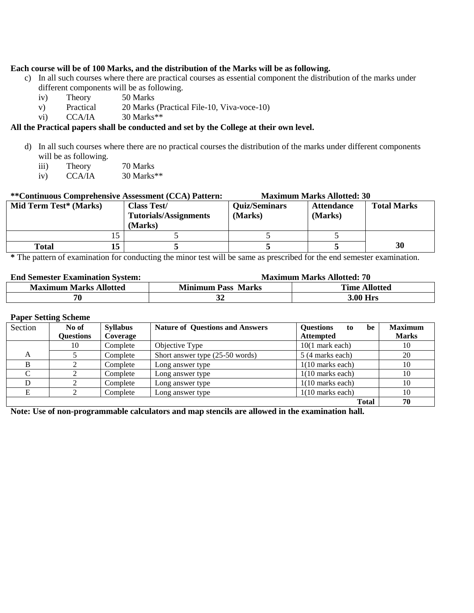#### **Each course will be of 100 Marks, and the distribution of the Marks will be as following.**

- c) In all such courses where there are practical courses as essential component the distribution of the marks under different components will be as following.
	- iv) Theory 50 Marks
	- v) Practical 20 Marks (Practical File-10, Viva-voce-10)
	- vi) CCA/IA 30 Marks\*\*

#### **All the Practical papers shall be conducted and set by the College at their own level.**

- d) In all such courses where there are no practical courses the distribution of the marks under different components will be as following.
	- iii) Theory 70 Marks
	- iv) CCA/IA 30 Marks\*\*

#### **\*\*Continuous Comprehensive Assessment (CCA) Pattern: Maximum Marks Allotted: 30 Mid Term Test\* (Marks) Class Test/ Tutorials/Assignments (Marks) Quiz/Seminars (Marks) Attendance (Marks) Total Marks** 15 5 5 5 5 **Total 15 5 5 5 30**

**\*** The pattern of examination for conducting the minor test will be same as prescribed for the end semester examination.

### **End Semester Examination System: Maximum Marks Allotted: 70**

| <b>Maximum</b><br><b>Marks Allotted</b> | <b>Minimum</b><br><b>Marks</b><br>Pass | <b>Allotted</b><br><b>Alme</b> |
|-----------------------------------------|----------------------------------------|--------------------------------|
| 70                                      | ◡                                      | 00 H<br>ым                     |

#### **Paper Setting Scheme**

| Section | No of            | <b>Syllabus</b> | <b>Nature of Questions and Answers</b> | <b>Questions</b><br>be<br>to | <b>Maximum</b> |
|---------|------------------|-----------------|----------------------------------------|------------------------------|----------------|
|         | <b>Questions</b> | Coverage        |                                        | <b>Attempted</b>             | <b>Marks</b>   |
|         | 10               | Complete        | Objective Type                         | $10(1$ mark each)            | 10             |
| А       |                  | Complete        | Short answer type (25-50 words)        | 5 (4 marks each)             | 20             |
|         |                  | Complete        | Long answer type                       | $1(10$ marks each)           | 10             |
|         |                  | Complete        | Long answer type                       | $1(10 \text{ marks each})$   | 10             |
|         |                  | Complete        | Long answer type                       | $1(10$ marks each)           | 10             |
|         |                  | Complete        | Long answer type                       | $1(10$ marks each)           | 10             |
|         |                  |                 |                                        | <b>Total</b>                 | 70             |

**Note: Use of non-programmable calculators and map stencils are allowed in the examination hall.**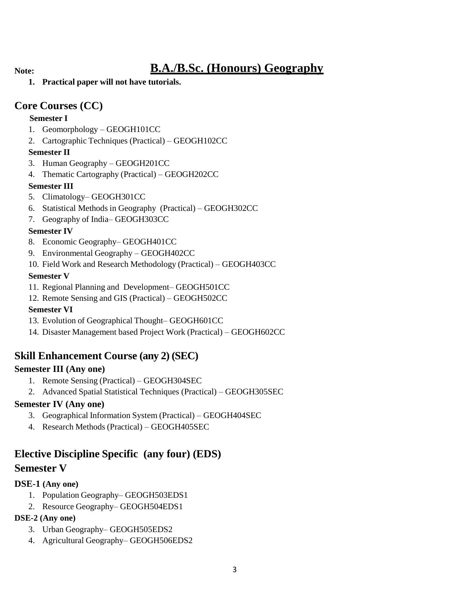## **Note: B.A./B.Sc. (Honours) Geography**

**1. Practical paper will not have tutorials.**

## **Core Courses (CC)**

### **Semester I**

- 1. Geomorphology GEOGH101CC
- 2. Cartographic Techniques (Practical) GEOGH102CC

### **Semester II**

- 3. Human Geography GEOGH201CC
- 4. Thematic Cartography (Practical) GEOGH202CC

### **Semester III**

- 5. Climatology– GEOGH301CC
- 6. Statistical Methods in Geography (Practical) GEOGH302CC
- 7. Geography of India– GEOGH303CC

### **Semester IV**

- 8. Economic Geography– GEOGH401CC
- 9. Environmental Geography GEOGH402CC
- 10. Field Work and Research Methodology (Practical) GEOGH403CC

### **Semester V**

- 11. Regional Planning and Development– GEOGH501CC
- 12. Remote Sensing and GIS (Practical) GEOGH502CC

### **Semester VI**

- 13. Evolution of Geographical Thought– GEOGH601CC
- 14. Disaster Management based Project Work (Practical) GEOGH602CC

## **Skill Enhancement Course (any 2) (SEC)**

### **Semester III (Any one)**

- 1. Remote Sensing (Practical) GEOGH304SEC
- 2. Advanced Spatial Statistical Techniques (Practical) GEOGH305SEC

### **Semester IV (Any one)**

- 3. Geographical Information System (Practical) GEOGH404SEC
- 4. Research Methods (Practical) GEOGH405SEC

## **Elective Discipline Specific (any four) (EDS)**

### **Semester V**

### **DSE-1 (Any one)**

- 1. Population Geography– GEOGH503EDS1
- 2. Resource Geography– GEOGH504EDS1

### **DSE-2 (Any one)**

- 3. Urban Geography– GEOGH505EDS2
- 4. Agricultural Geography– GEOGH506EDS2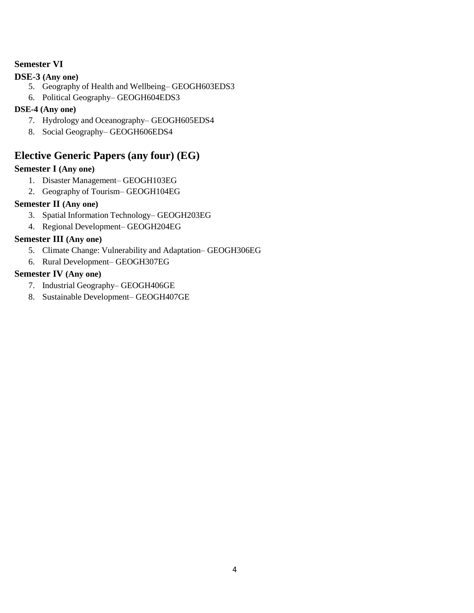### **Semester VI**

### **DSE-3 (Any one)**

- 5. Geography of Health and Wellbeing– GEOGH603EDS3
- 6. Political Geography– GEOGH604EDS3

### **DSE-4 (Any one)**

- 7. Hydrology and Oceanography– GEOGH605EDS4
- 8. Social Geography– GEOGH606EDS4

### **Elective Generic Papers (any four) (EG)**

### **Semester I (Any one)**

- 1. Disaster Management– GEOGH103EG
- 2. Geography of Tourism– GEOGH104EG

### **Semester II (Any one)**

- 3. Spatial Information Technology– GEOGH203EG
- 4. Regional Development– GEOGH204EG

### **Semester III (Any one)**

- 5. Climate Change: Vulnerability and Adaptation– GEOGH306EG
- 6. Rural Development– GEOGH307EG

### **Semester IV (Any one)**

- 7. Industrial Geography– GEOGH406GE
- 8. Sustainable Development– GEOGH407GE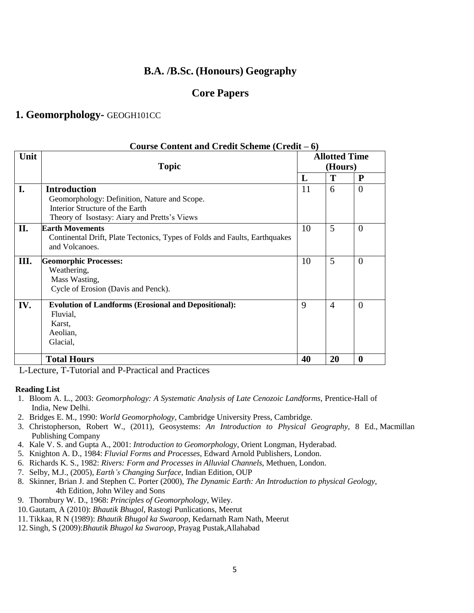### **B.A. /B.Sc. (Honours) Geography**

### **Core Papers**

### **1. Geomorphology-** GEOGH101CC

|      | Course Content and Credit Scheme $(Credit - 6)$                            |                                 |                |                |  |  |  |
|------|----------------------------------------------------------------------------|---------------------------------|----------------|----------------|--|--|--|
| Unit | <b>Topic</b>                                                               | <b>Allotted Time</b><br>(Hours) |                |                |  |  |  |
|      |                                                                            | L                               | T              | P              |  |  |  |
| I.   | <b>Introduction</b>                                                        | 11                              | 6              | $\Omega$       |  |  |  |
|      | Geomorphology: Definition, Nature and Scope.                               |                                 |                |                |  |  |  |
|      | Interior Structure of the Earth                                            |                                 |                |                |  |  |  |
|      | Theory of Isostasy: Aiary and Pretts's Views                               |                                 |                |                |  |  |  |
| II.  | <b>Earth Movements</b>                                                     | 10                              | 5              | $\overline{0}$ |  |  |  |
|      | Continental Drift, Plate Tectonics, Types of Folds and Faults, Earthquakes |                                 |                |                |  |  |  |
|      | and Volcanoes.                                                             |                                 |                |                |  |  |  |
| III. | <b>Geomorphic Processes:</b>                                               | 10                              | 5              | $\overline{0}$ |  |  |  |
|      | Weathering,                                                                |                                 |                |                |  |  |  |
|      | Mass Wasting,                                                              |                                 |                |                |  |  |  |
|      | Cycle of Erosion (Davis and Penck).                                        |                                 |                |                |  |  |  |
| IV.  | <b>Evolution of Landforms (Erosional and Depositional):</b>                | 9                               | $\overline{4}$ | $\theta$       |  |  |  |
|      | Fluvial,                                                                   |                                 |                |                |  |  |  |
|      | Karst,                                                                     |                                 |                |                |  |  |  |
|      | Aeolian,                                                                   |                                 |                |                |  |  |  |
|      | Glacial,                                                                   |                                 |                |                |  |  |  |
|      | <b>Total Hours</b>                                                         | 40                              | 20             | $\bf{0}$       |  |  |  |

L-Lecture, T-Tutorial and P-Practical and Practices

- 1. Bloom A. L., 2003: *Geomorphology: A Systematic Analysis of Late Cenozoic Landforms*, Prentice-Hall of India, New Delhi.
- 2. Bridges E. M., 1990: *World Geomorphology*, Cambridge University Press, Cambridge.
- 3. Christopherson, Robert W., (2011), Geosystems: *An Introduction to Physical Geography,* 8 Ed., Macmillan Publishing Company
- 4. Kale V. S. and Gupta A., 2001: *Introduction to Geomorphology*, Orient Longman, Hyderabad.
- 5. Knighton A. D., 1984: *Fluvial Forms and Processes*, Edward Arnold Publishers, London.
- 6. Richards K. S., 1982: *Rivers: Form and Processes in Alluvial Channels*, Methuen, London.
- 7. Selby, M.J., (2005), *Earth's Changing Surface,* Indian Edition, OUP
- 8. Skinner, Brian J. and Stephen C. Porter (2000), *The Dynamic Earth: An Introduction to physical Geology,* 4th Edition, John Wiley and Sons
- 9. Thornbury W. D., 1968: *Principles of Geomorphology*, Wiley.
- 10. Gautam, A (2010): *Bhautik Bhugol*, Rastogi Punlications, Meerut
- 11.Tikkaa, R N (1989): *Bhautik Bhugol ka Swaroop*, Kedarnath Ram Nath, Meerut
- 12. Singh, S (2009):*Bhautik Bhugol ka Swaroop*, Prayag Pustak,Allahabad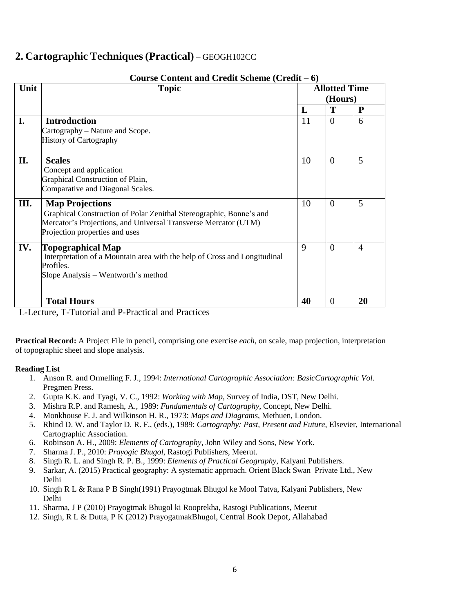### **2. Cartographic Techniques (Practical)** – GEOGH102CC

| Unit | <b>Topic</b>                                                                                                                                                                                       |    | <b>Allotted Time</b><br>(Hours) |                |  |
|------|----------------------------------------------------------------------------------------------------------------------------------------------------------------------------------------------------|----|---------------------------------|----------------|--|
|      |                                                                                                                                                                                                    | L  | T                               | P              |  |
| I.   | <b>Introduction</b><br>Cartography – Nature and Scope.<br><b>History of Cartography</b>                                                                                                            | 11 | $\theta$                        | 6              |  |
| II.  | <b>Scales</b><br>Concept and application<br>Graphical Construction of Plain,<br>Comparative and Diagonal Scales.                                                                                   | 10 | $\overline{0}$                  | 5              |  |
| Ш.   | <b>Map Projections</b><br>Graphical Construction of Polar Zenithal Stereographic, Bonne's and<br>Mercator's Projections, and Universal Transverse Mercator (UTM)<br>Projection properties and uses | 10 | $\overline{0}$                  | 5              |  |
| IV.  | <b>Topographical Map</b><br>Interpretation of a Mountain area with the help of Cross and Longitudinal<br>Profiles.<br>Slope Analysis – Wentworth's method                                          | 9  | $\overline{0}$                  | $\overline{4}$ |  |
|      | <b>Total Hours</b>                                                                                                                                                                                 | 40 | $\theta$                        | 20             |  |

#### **Course Content and Credit Scheme (Credit – 6)**

L-Lecture, T-Tutorial and P-Practical and Practices

**Practical Record:** A Project File in pencil, comprising one exercise *each*, on scale, map projection, interpretation of topographic sheet and slope analysis.

- 1. Anson R. and Ormelling F. J., 1994: *International Cartographic Association: BasicCartographic Vol.* Pregmen Press.
- 2. Gupta K.K. and Tyagi, V. C., 1992: *Working with Map*, Survey of India, DST, New Delhi.
- 3. Mishra R.P. and Ramesh, A., 1989: *Fundamentals of Cartography*, Concept, New Delhi.
- 4. Monkhouse F. J. and Wilkinson H. R., 1973: *Maps and Diagrams*, Methuen, London.
- 5. Rhind D. W. and Taylor D. R. F., (eds.), 1989: *Cartography: Past, Present and Future*, Elsevier, International Cartographic Association.
- 6. Robinson A. H., 2009: *Elements of Cartography*, John Wiley and Sons, New York.
- 7. Sharma J. P., 2010: *Prayogic Bhugol*, Rastogi Publishers, Meerut.
- 8. Singh R. L. and Singh R. P. B., 1999: *Elements of Practical Geography*, Kalyani Publishers.
- 9. Sarkar, A. (2015) Practical geography: A systematic approach. Orient Black Swan Private Ltd., New Delhi
- 10. Singh R L & Rana P B Singh(1991) Prayogtmak Bhugol ke Mool Tatva, Kalyani Publishers, New Delhi
- 11. Sharma, J P (2010) Prayogtmak Bhugol ki Rooprekha, Rastogi Publications, Meerut
- 12. Singh, R L & Dutta, P K (2012) PrayogatmakBhugol, Central Book Depot, Allahabad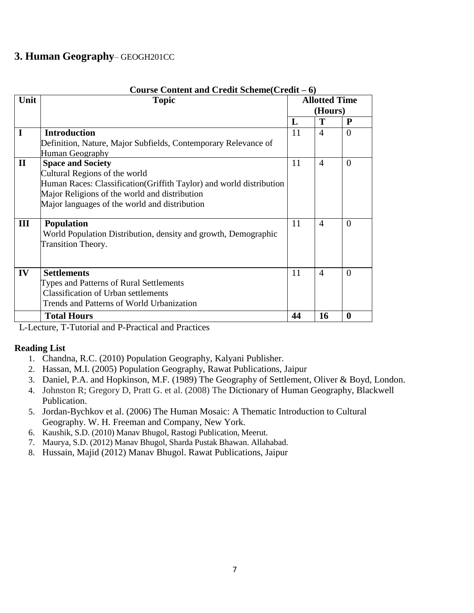### **3. Human Geography**– GEOGH201CC

|              | Course Content and Credit Scheme(Credit – 6)                         |    |                                                                                                                                     |             |  |  |  |
|--------------|----------------------------------------------------------------------|----|-------------------------------------------------------------------------------------------------------------------------------------|-------------|--|--|--|
| Unit         | <b>Topic</b>                                                         |    | <b>Allotted Time</b><br>(Hours)<br>T<br>P<br>$\Omega$<br>$\overline{4}$<br>$\overline{4}$<br>$\Omega$<br>$\Omega$<br>$\overline{4}$ |             |  |  |  |
|              |                                                                      |    | 11<br>11<br>11<br>11<br>$\theta$<br>$\overline{A}$                                                                                  |             |  |  |  |
|              |                                                                      | L  |                                                                                                                                     |             |  |  |  |
| I            | <b>Introduction</b>                                                  |    |                                                                                                                                     |             |  |  |  |
|              | Definition, Nature, Major Subfields, Contemporary Relevance of       |    |                                                                                                                                     |             |  |  |  |
|              | Human Geography                                                      |    |                                                                                                                                     |             |  |  |  |
| $\mathbf{I}$ | <b>Space and Society</b>                                             |    |                                                                                                                                     |             |  |  |  |
|              | Cultural Regions of the world                                        |    |                                                                                                                                     |             |  |  |  |
|              | Human Races: Classification (Griffith Taylor) and world distribution |    |                                                                                                                                     |             |  |  |  |
|              | Major Religions of the world and distribution                        |    |                                                                                                                                     |             |  |  |  |
|              | Major languages of the world and distribution                        |    |                                                                                                                                     |             |  |  |  |
|              |                                                                      |    |                                                                                                                                     |             |  |  |  |
| III          | <b>Population</b>                                                    |    |                                                                                                                                     |             |  |  |  |
|              | World Population Distribution, density and growth, Demographic       |    |                                                                                                                                     |             |  |  |  |
|              | <b>Transition Theory.</b>                                            |    |                                                                                                                                     |             |  |  |  |
|              |                                                                      |    |                                                                                                                                     |             |  |  |  |
|              |                                                                      |    |                                                                                                                                     |             |  |  |  |
| IV           | <b>Settlements</b>                                                   |    |                                                                                                                                     |             |  |  |  |
|              | Types and Patterns of Rural Settlements                              |    |                                                                                                                                     |             |  |  |  |
|              | <b>Classification of Urban settlements</b>                           |    |                                                                                                                                     |             |  |  |  |
|              | Trends and Patterns of World Urbanization                            |    |                                                                                                                                     |             |  |  |  |
|              | <b>Total Hours</b>                                                   | 44 | 16                                                                                                                                  | $\mathbf 0$ |  |  |  |

#### **Course Content and Credit Scheme(Credit – 6)**

L-Lecture, T-Tutorial and P-Practical and Practices

- 1. Chandna, R.C. (2010) Population Geography, Kalyani Publisher.
- 2. Hassan, M.I. (2005) Population Geography, Rawat Publications, Jaipur
- 3. Daniel, P.A. and Hopkinson, M.F. (1989) The Geography of Settlement, Oliver & Boyd, London.
- 4. Johnston R; Gregory D, Pratt G. et al. (2008) The Dictionary of Human Geography, Blackwell Publication.
- 5. Jordan-Bychkov et al. (2006) The Human Mosaic: A Thematic Introduction to Cultural Geography. W. H. Freeman and Company, New York.
- 6. Kaushik, S.D. (2010) Manav Bhugol, Rastogi Publication, Meerut.
- 7. Maurya, S.D. (2012) Manav Bhugol, Sharda Pustak Bhawan. Allahabad.
- 8. Hussain, Majid (2012) Manav Bhugol. Rawat Publications, Jaipur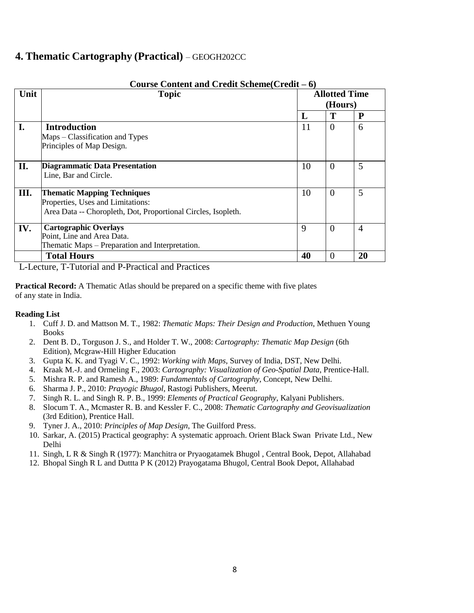### **4. Thematic Cartography (Practical)** – GEOGH202CC

|      | Course Content and Credit Scheme (Credit – 6)                 |                                            |                                                                                                    |                |  |  |  |
|------|---------------------------------------------------------------|--------------------------------------------|----------------------------------------------------------------------------------------------------|----------------|--|--|--|
| Unit | <b>Topic</b>                                                  |                                            | <b>Allotted Time</b><br>(Hours)<br>Т<br>P<br>$\overline{0}$<br>6<br>5<br>$\theta$<br>5<br>$\Omega$ |                |  |  |  |
|      |                                                               | L<br>11<br>10<br>10<br>9<br>$\overline{0}$ |                                                                                                    |                |  |  |  |
|      |                                                               |                                            |                                                                                                    |                |  |  |  |
| I.   | <b>Introduction</b>                                           |                                            |                                                                                                    |                |  |  |  |
|      | Maps – Classification and Types                               |                                            |                                                                                                    |                |  |  |  |
|      | Principles of Map Design.                                     |                                            |                                                                                                    |                |  |  |  |
|      |                                                               |                                            |                                                                                                    |                |  |  |  |
| II.  | Diagrammatic Data Presentation                                |                                            |                                                                                                    |                |  |  |  |
|      | Line, Bar and Circle.                                         |                                            |                                                                                                    |                |  |  |  |
|      |                                                               |                                            |                                                                                                    |                |  |  |  |
| III. | <b>Thematic Mapping Techniques</b>                            |                                            |                                                                                                    |                |  |  |  |
|      | Properties, Uses and Limitations:                             |                                            |                                                                                                    |                |  |  |  |
|      | Area Data -- Choropleth, Dot, Proportional Circles, Isopleth. |                                            |                                                                                                    |                |  |  |  |
| IV.  | <b>Cartographic Overlays</b>                                  |                                            |                                                                                                    | $\overline{A}$ |  |  |  |
|      | Point, Line and Area Data.                                    |                                            |                                                                                                    |                |  |  |  |
|      | Thematic Maps – Preparation and Interpretation.               |                                            |                                                                                                    |                |  |  |  |
|      | <b>Total Hours</b>                                            | 40                                         | $\Omega$                                                                                           | 20             |  |  |  |

L-Lecture, T-Tutorial and P-Practical and Practices

**Practical Record:** A Thematic Atlas should be prepared on a specific theme with five plates of any state in India.

- 1. Cuff J. D. and Mattson M. T., 1982: *Thematic Maps: Their Design and Production*, Methuen Young Books
- 2. Dent B. D., Torguson J. S., and Holder T. W., 2008: *Cartography: Thematic Map Design* (6th Edition), Mcgraw-Hill Higher Education
- 3. Gupta K. K. and Tyagi V. C., 1992: *Working with Maps*, Survey of India, DST, New Delhi.
- 4. Kraak M.-J. and Ormeling F., 2003: *Cartography: Visualization of Geo-Spatial Data*, Prentice-Hall.
- 5. Mishra R. P. and Ramesh A., 1989: *Fundamentals of Cartography*, Concept, New Delhi.
- 6. Sharma J. P., 2010: *Prayogic Bhugol*, Rastogi Publishers, Meerut.
- 7. Singh R. L. and Singh R. P. B., 1999: *Elements of Practical Geography*, Kalyani Publishers.
- 8. Slocum T. A., Mcmaster R. B. and Kessler F. C., 2008: *Thematic Cartography and Geovisualization* (3rd Edition), Prentice Hall.
- 9. Tyner J. A., 2010: *Principles of Map Design*, The Guilford Press.
- 10. Sarkar, A. (2015) Practical geography: A systematic approach. Orient Black Swan Private Ltd., New Delhi
- 11. Singh, L R & Singh R (1977): Manchitra or Pryaogatamek Bhugol , Central Book, Depot, Allahabad
- 12. Bhopal Singh R L and Duttta P K (2012) Prayogatama Bhugol, Central Book Depot, Allahabad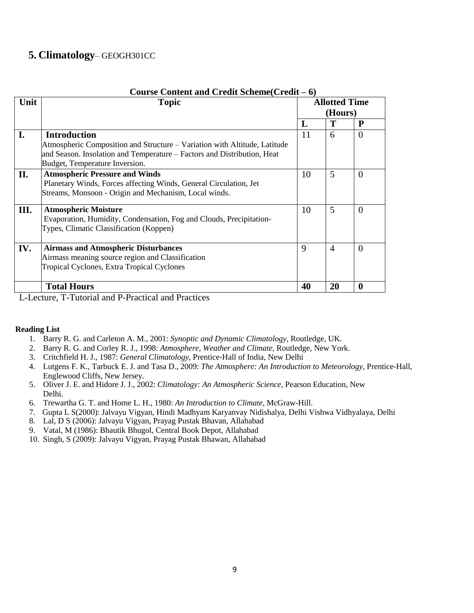### **5. Climatology**– GEOGH301CC

| Unit | <b>Topic</b>                                                                                                                                                                                                  |    | <b>Allotted Time</b><br>(Hours) |              |
|------|---------------------------------------------------------------------------------------------------------------------------------------------------------------------------------------------------------------|----|---------------------------------|--------------|
|      |                                                                                                                                                                                                               | L  | Т                               | P            |
| I.   | <b>Introduction</b><br>Atmospheric Composition and Structure – Variation with Altitude, Latitude<br>and Season. Insolation and Temperature – Factors and Distribution, Heat<br>Budget, Temperature Inversion. | 11 | 6                               | $\Omega$     |
| II.  | <b>Atmospheric Pressure and Winds</b><br>Planetary Winds, Forces affecting Winds, General Circulation, Jet<br>Streams, Monsoon - Origin and Mechanism, Local winds.                                           | 10 | 5                               | $\theta$     |
| III. | <b>Atmospheric Moisture</b><br>Evaporation, Humidity, Condensation, Fog and Clouds, Precipitation-<br>Types, Climatic Classification (Koppen)                                                                 | 10 | 5                               | $\Omega$     |
| IV.  | <b>Airmass and Atmospheric Disturbances</b><br>Airmass meaning source region and Classification<br><b>Tropical Cyclones, Extra Tropical Cyclones</b>                                                          | 9  | $\overline{A}$                  | $\Omega$     |
|      | <b>Total Hours</b>                                                                                                                                                                                            | 40 | 20                              | $\mathbf{0}$ |

#### **Course Content and Credit Scheme(Credit – 6)**

L-Lecture, T-Tutorial and P-Practical and Practices

- 1. Barry R. G. and Carleton A. M., 2001: *Synoptic and Dynamic Climatology*, Routledge, UK.
- 2. Barry R. G. and Corley R. J., 1998: *Atmosphere, Weather and Climate*, Routledge, New York.
- 3. Critchfield H. J., 1987: *General Climatology*, Prentice-Hall of India, New Delhi
- 4. Lutgens F. K., Tarbuck E. J. and Tasa D., 2009: *The Atmosphere: An Introduction to Meteorology*, Prentice-Hall, Englewood Cliffs, New Jersey.
- 5. Oliver J. E. and Hidore J. J., 2002: *Climatology: An Atmospheric Science*, Pearson Education, New Delhi.
- 6. Trewartha G. T. and Horne L. H., 1980: *An Introduction to Climate*, McGraw-Hill.
- 7. Gupta L S(2000): Jalvayu Vigyan, Hindi Madhyam Karyanvay Nidishalya, Delhi Vishwa Vidhyalaya, Delhi
- 8. Lal, D S (2006): Jalvayu Vigyan, Prayag Pustak Bhavan, Allahabad
- 9. Vatal, M (1986): Bhautik Bhugol, Central Book Depot, Allahabad
- 10. Singh, S (2009): Jalvayu Vigyan, Prayag Pustak Bhawan, Allahabad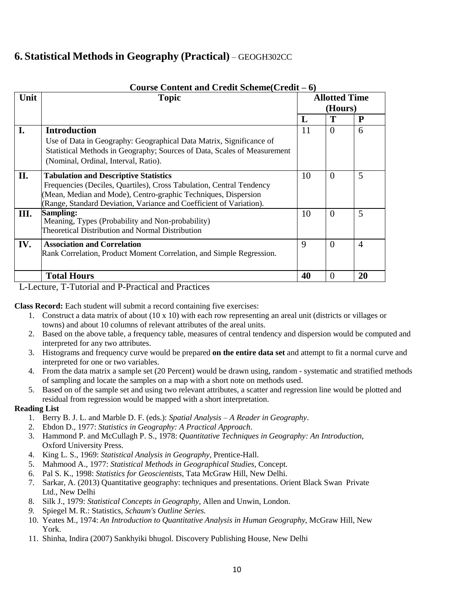## **6. Statistical Methods in Geography (Practical)** – GEOGH302CC

|      | Course Content and Credit Scheme (Credit – 6)                                                                                                                                                                                                                 |    |                                 |                |  |  |  |
|------|---------------------------------------------------------------------------------------------------------------------------------------------------------------------------------------------------------------------------------------------------------------|----|---------------------------------|----------------|--|--|--|
| Unit | <b>Topic</b>                                                                                                                                                                                                                                                  |    | <b>Allotted Time</b><br>(Hours) |                |  |  |  |
|      |                                                                                                                                                                                                                                                               | L  |                                 | P              |  |  |  |
| I.   | <b>Introduction</b><br>Use of Data in Geography: Geographical Data Matrix, Significance of<br>Statistical Methods in Geography; Sources of Data, Scales of Measurement                                                                                        | 11 | $\overline{0}$                  | 6              |  |  |  |
|      | (Nominal, Ordinal, Interval, Ratio).                                                                                                                                                                                                                          |    |                                 |                |  |  |  |
| II.  | <b>Tabulation and Descriptive Statistics</b><br>Frequencies (Deciles, Quartiles), Cross Tabulation, Central Tendency<br>(Mean, Median and Mode), Centro-graphic Techniques, Dispersion<br>(Range, Standard Deviation, Variance and Coefficient of Variation). | 10 | $\overline{0}$                  | 5              |  |  |  |
| Ш.   | Sampling:<br>Meaning, Types (Probability and Non-probability)<br>Theoretical Distribution and Normal Distribution                                                                                                                                             | 10 | $\overline{0}$                  | 5              |  |  |  |
| IV.  | <b>Association and Correlation</b><br>Rank Correlation, Product Moment Correlation, and Simple Regression.                                                                                                                                                    | 9  | $\theta$                        | $\overline{A}$ |  |  |  |
|      | <b>Total Hours</b>                                                                                                                                                                                                                                            | 40 | $\theta$                        | 20             |  |  |  |

L-Lecture, T-Tutorial and P-Practical and Practices

**Class Record:** Each student will submit a record containing five exercises:

- 1. Construct a data matrix of about  $(10 \times 10)$  with each row representing an areal unit (districts or villages or towns) and about 10 columns of relevant attributes of the areal units.
- 2. Based on the above table, a frequency table, measures of central tendency and dispersion would be computed and interpreted for any two attributes.
- 3. Histograms and frequency curve would be prepared **on the entire data set** and attempt to fit a normal curve and interpreted for one or two variables.
- 4. From the data matrix a sample set (20 Percent) would be drawn using, random systematic and stratified methods of sampling and locate the samples on a map with a short note on methods used.
- 5. Based on of the sample set and using two relevant attributes, a scatter and regression line would be plotted and residual from regression would be mapped with a short interpretation.

- 1. Berry B. J. L. and Marble D. F. (eds.): *Spatial Analysis – A Reader in Geography*.
- 2. Ebdon D., 1977: *Statistics in Geography: A Practical Approach*.
- 3. Hammond P. and McCullagh P. S., 1978: *Quantitative Techniques in Geography: An Introduction,* Oxford University Press.
- 4. King L. S., 1969: *Statistical Analysis in Geography*, Prentice-Hall.
- 5. Mahmood A., 1977: *Statistical Methods in Geographical Studies,* Concept.
- 6. Pal S. K., 1998: *Statistics for Geoscientists*, Tata McGraw Hill, New Delhi.
- 7. Sarkar, A. (2013) Quantitative geography: techniques and presentations. Orient Black Swan Private Ltd., New Delhi
- 8. Silk J., 1979: *Statistical Concepts in Geography*, Allen and Unwin, London.
- *9.* Spiegel M. R.: Statistics, *Schaum's Outline Series.*
- 10. Yeates M., 1974: *An Introduction to Quantitative Analysis in Human Geography*, McGraw Hill, New York.
- 11. Shinha, Indira (2007) Sankhyiki bhugol. Discovery Publishing House, New Delhi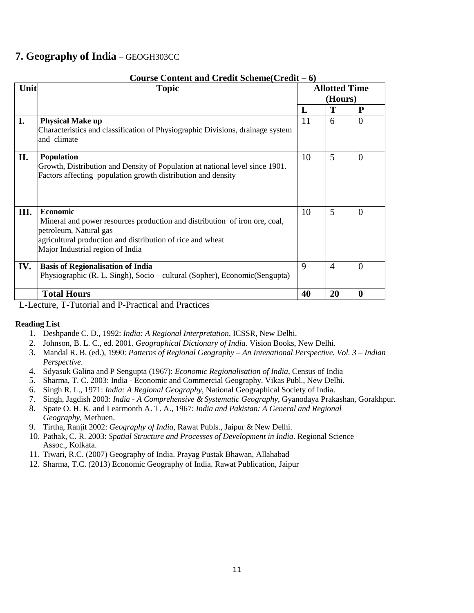### **7. Geography of India** – GEOGH303CC

|      | Course Content and Credit Scheme(Credit – 6)                                                                                                                                                                              |    |                      |                |  |  |  |
|------|---------------------------------------------------------------------------------------------------------------------------------------------------------------------------------------------------------------------------|----|----------------------|----------------|--|--|--|
| Unit | <b>Topic</b>                                                                                                                                                                                                              |    | <b>Allotted Time</b> |                |  |  |  |
|      |                                                                                                                                                                                                                           |    | (Hours)              |                |  |  |  |
|      |                                                                                                                                                                                                                           | L  | Т                    | P              |  |  |  |
| I.   | <b>Physical Make up</b><br>Characteristics and classification of Physiographic Divisions, drainage system<br>and climate                                                                                                  | 11 | 6                    | $\overline{0}$ |  |  |  |
| II.  | <b>Population</b><br>Growth, Distribution and Density of Population at national level since 1901.<br>Factors affecting population growth distribution and density                                                         | 10 | 5                    | $\overline{0}$ |  |  |  |
| Ш.   | <b>Economic</b><br>Mineral and power resources production and distribution of iron ore, coal,<br>petroleum, Natural gas<br>agricultural production and distribution of rice and wheat<br>Major Industrial region of India | 10 | 5                    | $\overline{0}$ |  |  |  |
| IV.  | <b>Basis of Regionalisation of India</b><br>Physiographic (R. L. Singh), Socio – cultural (Sopher), Economic (Sengupta)                                                                                                   | 9  | $\overline{4}$       | $\theta$       |  |  |  |
|      | <b>Total Hours</b>                                                                                                                                                                                                        | 40 | 20                   | $\mathbf{0}$   |  |  |  |

L-Lecture, T-Tutorial and P-Practical and Practices

- 1. Deshpande C. D., 1992: *India: A Regional Interpretation*, ICSSR, New Delhi.
- 2. Johnson, B. L. C., ed. 2001. *Geographical Dictionary of India*. Vision Books, New Delhi.
- 3. Mandal R. B. (ed.), 1990: *Patterns of Regional Geography – An Intenational Perspective. Vol. 3 – Indian Perspective*.
- 4. Sdyasuk Galina and P Sengupta (1967): *Economic Regionalisation of India*, Census of India
- 5. Sharma, T. C. 2003: India Economic and Commercial Geography. Vikas Publ., New Delhi.
- 6. Singh R. L., 1971: *India: A Regional Geography*, National Geographical Society of India.
- 7. Singh, Jagdish 2003: *India - A Comprehensive & Systematic Geography*, Gyanodaya Prakashan, Gorakhpur.
- 8. Spate O. H. K. and Learmonth A. T. A., 1967: *India and Pakistan: A General and Regional Geography*, Methuen.
- 9. Tirtha, Ranjit 2002: *Geography of India,* Rawat Publs., Jaipur & New Delhi.
- 10. Pathak, C. R. 2003: *Spatial Structure and Processes of Development in India*. Regional Science Assoc., Kolkata.
- 11. Tiwari, R.C. (2007) Geography of India. Prayag Pustak Bhawan, Allahabad
- 12. Sharma, T.C. (2013) Economic Geography of India. Rawat Publication, Jaipur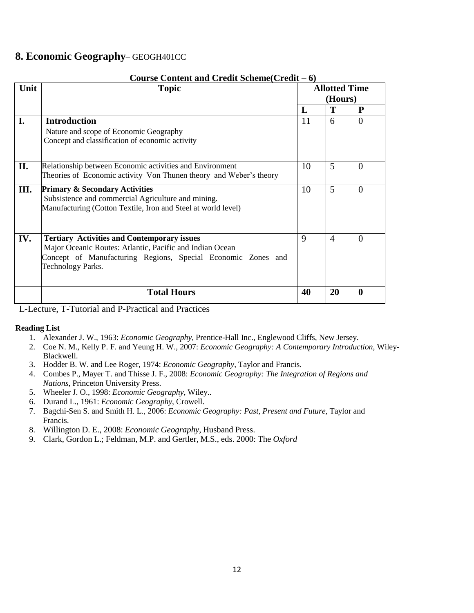### **8. Economic Geography**– GEOGH401CC

|      | Course Content and Credit Scheme(Credit – 6)                                                                                                                                                        |                                 |                |                  |  |  |
|------|-----------------------------------------------------------------------------------------------------------------------------------------------------------------------------------------------------|---------------------------------|----------------|------------------|--|--|
| Unit | <b>Topic</b>                                                                                                                                                                                        | <b>Allotted Time</b><br>(Hours) |                |                  |  |  |
|      |                                                                                                                                                                                                     | L                               | Т              | P                |  |  |
| I.   | <b>Introduction</b><br>Nature and scope of Economic Geography<br>Concept and classification of economic activity                                                                                    | 11                              | 6              | $\theta$         |  |  |
| II.  | Relationship between Economic activities and Environment<br>Theories of Economic activity Von Thunen theory and Weber's theory                                                                      | 10                              | 5              | $\Omega$         |  |  |
| Ш.   | <b>Primary &amp; Secondary Activities</b><br>Subsistence and commercial Agriculture and mining.<br>Manufacturing (Cotton Textile, Iron and Steel at world level)                                    | 10                              | 5              | $\Omega$         |  |  |
| IV.  | <b>Tertiary Activities and Contemporary issues</b><br>Major Oceanic Routes: Atlantic, Pacific and Indian Ocean<br>Concept of Manufacturing Regions, Special Economic Zones and<br>Technology Parks. | 9                               | $\overline{4}$ | $\Omega$         |  |  |
|      | <b>Total Hours</b>                                                                                                                                                                                  | 40                              | 20             | $\boldsymbol{0}$ |  |  |

L-Lecture, T-Tutorial and P-Practical and Practices

- 1. Alexander J. W., 1963: *Economic Geography*, Prentice-Hall Inc., Englewood Cliffs, New Jersey.
- 2. Coe N. M., Kelly P. F. and Yeung H. W., 2007: *Economic Geography: A Contemporary Introduction*, Wiley-Blackwell.
- 3. Hodder B. W. and Lee Roger, 1974: *Economic Geography*, Taylor and Francis.
- 4. Combes P., Mayer T. and Thisse J. F., 2008: *Economic Geography: The Integration of Regions and Nations*, Princeton University Press.
- 5. Wheeler J. O., 1998: *Economic Geography*, Wiley..
- 6. Durand L., 1961: *Economic Geography*, Crowell.
- 7. Bagchi-Sen S. and Smith H. L., 2006: *Economic Geography: Past, Present and Future*, Taylor and Francis.
- 8. Willington D. E., 2008: *Economic Geography*, Husband Press.
- 9. Clark, Gordon L.; Feldman, M.P. and Gertler, M.S., eds. 2000: The *Oxford*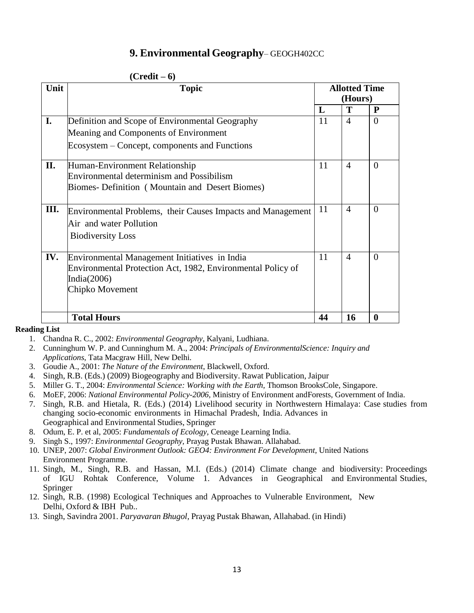### **9. Environmental Geography**– GEOGH402CC

|      | $(Credit - 6)$                                              |    |                                 |              |  |  |
|------|-------------------------------------------------------------|----|---------------------------------|--------------|--|--|
| Unit | <b>Topic</b>                                                |    | <b>Allotted Time</b><br>(Hours) |              |  |  |
|      |                                                             |    |                                 |              |  |  |
|      |                                                             | L  | T                               | $\mathbf{P}$ |  |  |
| I.   | Definition and Scope of Environmental Geography             | 11 | $\overline{4}$                  | $\Omega$     |  |  |
|      | Meaning and Components of Environment                       |    |                                 |              |  |  |
|      | Ecosystem – Concept, components and Functions               |    |                                 |              |  |  |
| П.   | Human-Environment Relationship                              | 11 | $\overline{A}$                  | $\theta$     |  |  |
|      | <b>Environmental determinism and Possibilism</b>            |    |                                 |              |  |  |
|      | Biomes- Definition (Mountain and Desert Biomes)             |    |                                 |              |  |  |
| Ш.   | Environmental Problems, their Causes Impacts and Management | 11 | $\overline{A}$                  | $\Omega$     |  |  |
|      | Air and water Pollution                                     |    |                                 |              |  |  |
|      |                                                             |    |                                 |              |  |  |
|      | <b>Biodiversity Loss</b>                                    |    |                                 |              |  |  |
| IV.  | Environmental Management Initiatives in India               | 11 | $\overline{4}$                  | $\Omega$     |  |  |
|      | Environmental Protection Act, 1982, Environmental Policy of |    |                                 |              |  |  |
|      | India $(2006)$                                              |    |                                 |              |  |  |
|      | Chipko Movement                                             |    |                                 |              |  |  |
|      |                                                             |    |                                 |              |  |  |
|      | <b>Total Hours</b>                                          | 44 | 16                              | $\bf{0}$     |  |  |

- 1. Chandna R. C., 2002: *Environmental Geography*, Kalyani, Ludhiana.
- 2. Cunninghum W. P. and Cunninghum M. A., 2004: *Principals of EnvironmentalScience: Inquiry and Applications*, Tata Macgraw Hill, New Delhi.
- 3. Goudie A., 2001: *The Nature of the Environment*, Blackwell, Oxford.
- 4. Singh, R.B. (Eds.) (2009) Biogeography and Biodiversity. Rawat Publication, Jaipur
- 5. Miller G. T., 2004: *Environmental Science: Working with the Earth,* Thomson BrooksCole, Singapore.
- 6. MoEF, 2006: *National Environmental Policy-2006,* Ministry of Environment andForests, Government of India.
- 7. Singh, R.B. and Hietala, R. (Eds.) (2014) Livelihood security in Northwestern Himalaya: Case studies from changing socio-economic environments in Himachal Pradesh, India. Advances in Geographical and Environmental Studies, Springer
- 8. Odum, E. P. et al, 2005: *Fundamentals of Ecology,* Ceneage Learning India.
- 9. Singh S., 1997: *Environmental Geography,* Prayag Pustak Bhawan. Allahabad.
- 10. UNEP, 2007: *Global Environment Outlook: GEO4: Environment For Development,* United Nations Environment Programme.
- 11. Singh, M., Singh, R.B. and Hassan, M.I. (Eds.) (2014) Climate change and biodiversity: Proceedings of IGU Rohtak Conference, Volume 1. Advances in Geographical and Environmental Studies, Springer
- 12. Singh, R.B. (1998) Ecological Techniques and Approaches to Vulnerable Environment, New Delhi, Oxford & IBH Pub..
- 13. Singh, Savindra 2001. *Paryavaran Bhugol,* Prayag Pustak Bhawan, Allahabad. (in Hindi)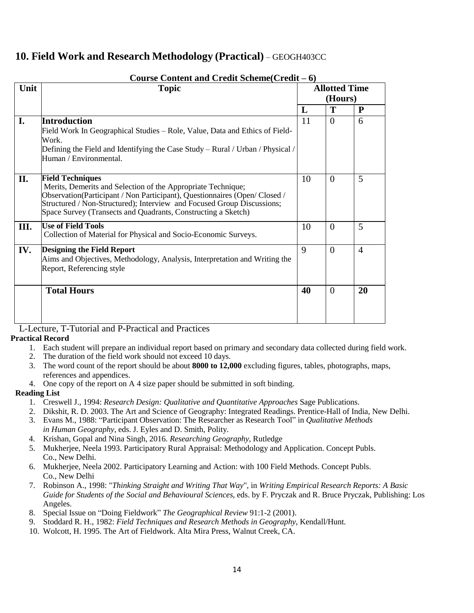### **10. Field Work and Research Methodology (Practical)** – GEOGH403CC

|      | Course Content and Credit Scheme $(Credit - 6)$                                                                                                                                                                                                                                                                 |    |                                 |                |  |
|------|-----------------------------------------------------------------------------------------------------------------------------------------------------------------------------------------------------------------------------------------------------------------------------------------------------------------|----|---------------------------------|----------------|--|
| Unit | <b>Topic</b>                                                                                                                                                                                                                                                                                                    |    | <b>Allotted Time</b><br>(Hours) |                |  |
|      |                                                                                                                                                                                                                                                                                                                 | L  | T                               | ${\bf P}$      |  |
| I.   | <b>Introduction</b><br>Field Work In Geographical Studies – Role, Value, Data and Ethics of Field-<br>Work.<br>Defining the Field and Identifying the Case Study - Rural / Urban / Physical /<br>Human / Environmental.                                                                                         | 11 | $\Omega$                        | 6              |  |
| II.  | <b>Field Techniques</b><br>Merits, Demerits and Selection of the Appropriate Technique;<br>Observation(Participant / Non Participant), Questionnaires (Open/Closed /<br>Structured / Non-Structured); Interview and Focused Group Discussions;<br>Space Survey (Transects and Quadrants, Constructing a Sketch) | 10 | $\overline{0}$                  | 5              |  |
| Ш.   | <b>Use of Field Tools</b><br>Collection of Material for Physical and Socio-Economic Surveys.                                                                                                                                                                                                                    | 10 | $\overline{0}$                  | 5              |  |
| IV.  | <b>Designing the Field Report</b><br>Aims and Objectives, Methodology, Analysis, Interpretation and Writing the<br>Report, Referencing style                                                                                                                                                                    | 9  | $\theta$                        | $\overline{4}$ |  |
|      | <b>Total Hours</b>                                                                                                                                                                                                                                                                                              | 40 | $\overline{0}$                  | 20             |  |

### **Course Content and Credit Scheme(Credit – 6)**

L-Lecture, T-Tutorial and P-Practical and Practices

#### **Practical Record**

- 1. Each student will prepare an individual report based on primary and secondary data collected during field work.
- 2. The duration of the field work should not exceed 10 days.
- 3. The word count of the report should be about **8000 to 12,000** excluding figures, tables, photographs, maps, references and appendices.
- 4. One copy of the report on A 4 size paper should be submitted in soft binding.

- 1. Creswell J., 1994: *Research Design: Qualitative and Quantitative Approaches* Sage Publications.
- 2. Dikshit, R. D. 2003. The Art and Science of Geography: Integrated Readings. Prentice-Hall of India, New Delhi.
- 3. Evans M., 1988: "Participant Observation: The Researcher as Research Tool" in *Qualitative Methods in Human Geography*, eds. J. Eyles and D. Smith, Polity.
- 4. Krishan, Gopal and Nina Singh, 2016. *Researching Geography,* Rutledge
- 5. Mukherjee, Neela 1993. Participatory Rural Appraisal: Methodology and Application. Concept Publs. Co., New Delhi.
- 6. Mukherjee, Neela 2002. Participatory Learning and Action: with 100 Field Methods. Concept Publs. Co., New Delhi
- 7. Robinson A., 1998: "*Thinking Straight and Writing That Way*", in *Writing Empirical Research Reports: A Basic Guide for Students of the Social and Behavioural Sciences*, eds. by F. Pryczak and R. Bruce Pryczak, Publishing: Los Angeles.
- 8. Special Issue on "Doing Fieldwork" *The Geographical Review* 91:1-2 (2001).
- 9. Stoddard R. H., 1982: *Field Techniques and Research Methods in Geography*, Kendall/Hunt.
- 10. Wolcott, H. 1995. The Art of Fieldwork. Alta Mira Press, Walnut Creek, CA.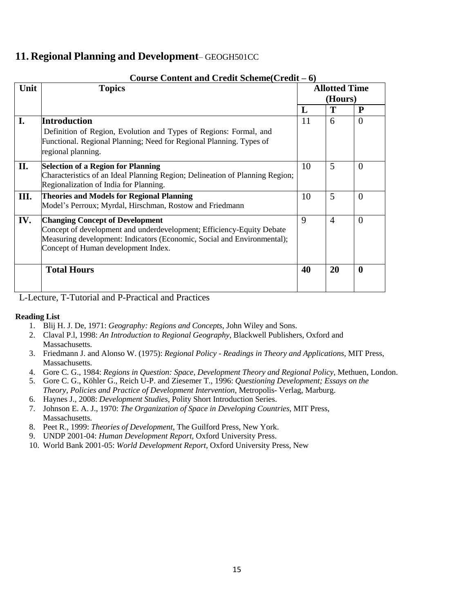### **11. Regional Planning and Development**– GEOGH501CC

|      | Course Content and Credit Scheme (Credit – 6)                                |    |                      |                |  |  |
|------|------------------------------------------------------------------------------|----|----------------------|----------------|--|--|
| Unit | <b>Topics</b>                                                                |    | <b>Allotted Time</b> |                |  |  |
|      |                                                                              |    | (Hours)              |                |  |  |
|      |                                                                              | L  | Т                    | P              |  |  |
| I.   | <b>Introduction</b>                                                          | 11 | 6                    | $\overline{0}$ |  |  |
|      | Definition of Region, Evolution and Types of Regions: Formal, and            |    |                      |                |  |  |
|      | Functional. Regional Planning; Need for Regional Planning. Types of          |    |                      |                |  |  |
|      | regional planning.                                                           |    |                      |                |  |  |
| П.   | <b>Selection of a Region for Planning</b>                                    | 10 | 5                    | $\overline{0}$ |  |  |
|      | Characteristics of an Ideal Planning Region; Delineation of Planning Region; |    |                      |                |  |  |
|      | Regionalization of India for Planning.                                       |    |                      |                |  |  |
| Ш.   | <b>Theories and Models for Regional Planning</b>                             | 10 | 5                    | $\overline{0}$ |  |  |
|      | Model's Perroux; Myrdal, Hirschman, Rostow and Friedmann                     |    |                      |                |  |  |
| IV.  | <b>Changing Concept of Development</b>                                       | 9  | $\overline{4}$       | $\overline{0}$ |  |  |
|      | Concept of development and underdevelopment; Efficiency-Equity Debate        |    |                      |                |  |  |
|      | Measuring development: Indicators (Economic, Social and Environmental);      |    |                      |                |  |  |
|      | Concept of Human development Index.                                          |    |                      |                |  |  |
|      |                                                                              |    |                      |                |  |  |
|      | <b>Total Hours</b>                                                           | 40 | 20                   | $\mathbf{0}$   |  |  |
|      |                                                                              |    |                      |                |  |  |
|      |                                                                              |    |                      |                |  |  |

#### **Course Content and Credit Scheme(Credit – 6)**

L-Lecture, T-Tutorial and P-Practical and Practices

- 1. Blij H. J. De, 1971: *Geography: Regions and Concepts*, John Wiley and Sons.
- 2. Claval P.l, 1998: *An Introduction to Regional Geography*, Blackwell Publishers, Oxford and Massachusetts.
- 3. Friedmann J. and Alonso W. (1975): *Regional Policy - Readings in Theory and Applications*, MIT Press, Massachusetts.
- 4. Gore C. G., 1984: *Regions in Question: Space, Development Theory and Regional Policy*, Methuen, London.
- 5. Gore C. G., Köhler G., Reich U-P. and Ziesemer T., 1996: *Questioning Development; Essays on the Theory, Policies and Practice of Development Intervention*, Metropolis- Verlag, Marburg.
- 6. Haynes J., 2008: *Development Studies*, Polity Short Introduction Series.
- 7. Johnson E. A. J., 1970: *The Organization of Space in Developing Countries*, MIT Press, Massachusetts.
- 8. Peet R., 1999: *Theories of Development*, The Guilford Press, New York.
- 9. UNDP 2001-04: *Human Development Report,* Oxford University Press.
- 10. World Bank 2001-05: *World Development Report,* Oxford University Press, New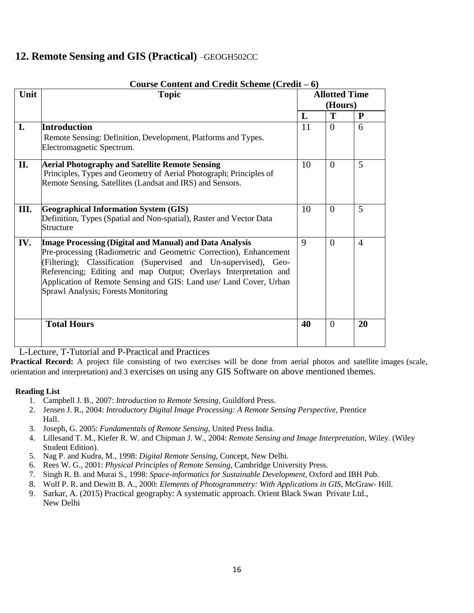### **12. Remote Sensing and GIS (Practical)** –GEOGH502CC

|      | Course Content and Credit Scheme (Credit – 6)                                                                                                                                                                                                                                                                                                                                      |    |                                 |                |
|------|------------------------------------------------------------------------------------------------------------------------------------------------------------------------------------------------------------------------------------------------------------------------------------------------------------------------------------------------------------------------------------|----|---------------------------------|----------------|
| Unit | <b>Topic</b>                                                                                                                                                                                                                                                                                                                                                                       |    | <b>Allotted Time</b><br>(Hours) |                |
|      |                                                                                                                                                                                                                                                                                                                                                                                    | L  | T                               | ${\bf P}$      |
| I.   | Introduction<br>Remote Sensing: Definition, Development, Platforms and Types.<br>Electromagnetic Spectrum.                                                                                                                                                                                                                                                                         | 11 | $\theta$                        | 6              |
| II.  | <b>Aerial Photography and Satellite Remote Sensing</b><br>Principles, Types and Geometry of Aerial Photograph; Principles of<br>Remote Sensing, Satellites (Landsat and IRS) and Sensors.                                                                                                                                                                                          | 10 | $\Omega$                        | 5              |
| Ш.   | <b>Geographical Information System (GIS)</b><br>Definition, Types (Spatial and Non-spatial), Raster and Vector Data<br>Structure                                                                                                                                                                                                                                                   | 10 | $\theta$                        | 5              |
| IV.  | Image Processing (Digital and Manual) and Data Analysis<br>Pre-processing (Radiometric and Geometric Correction), Enhancement<br>(Filtering); Classification (Supervised and Un-supervised), Geo-<br>Referencing; Editing and map Output; Overlays Interpretation and<br>Application of Remote Sensing and GIS: Land use/ Land Cover, Urban<br>Sprawl Analysis; Forests Monitoring | 9  | $\Omega$                        | $\overline{4}$ |
|      | <b>Total Hours</b>                                                                                                                                                                                                                                                                                                                                                                 | 40 | $\Omega$                        | 20             |

L-Lecture, T-Tutorial and P-Practical and Practices

**Practical Record:** A project file consisting of two exercises will be done from aerial photos and satellite images (scale, orientation and interpretation) and 3 exercises on using any GIS Software on above mentioned themes.

- 1. Campbell J. B., 2007: *Introduction to Remote Sensing*, Guildford Press.
- 2. Jensen J. R., 2004: *Introductory Digital Image Processing: A Remote Sensing Perspective*, Prentice Hall.
- 3. Joseph, G. 2005: *Fundamentals of Remote Sensing*, United Press India.
- 4. Lillesand T. M., Kiefer R. W. and Chipman J. W., 2004: *Remote Sensing and Image Interpretation*, Wiley. (Wiley Student Edition).
- 5. Nag P. and Kudra, M., 1998: *Digital Remote Sensing*, Concept, New Delhi.
- 6. Rees W. G., 2001: *Physical Principles of Remote Sensing*, Cambridge University Press.
- 7. Singh R. B. and Murai S., 1998: *Space-informatics for Sustainable Development*, Oxford and IBH Pub.
- 8. Wolf P. R. and Dewitt B. A., 2000: *Elements of Photogrammetry: With Applications in GIS*, McGraw- Hill.
- 9. Sarkar, A. (2015) Practical geography: A systematic approach. Orient Black Swan Private Ltd., New Delhi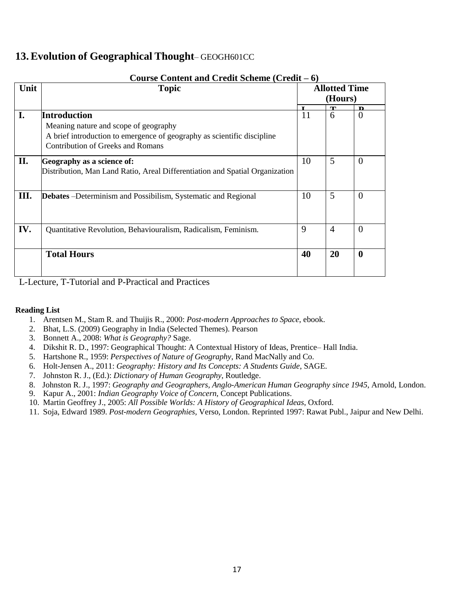### **13.Evolution of Geographical Thought**– GEOGH601CC

|      | Course Content and Credit Scheme $(Credit - 6)$                              |    |                                 |                  |  |  |  |
|------|------------------------------------------------------------------------------|----|---------------------------------|------------------|--|--|--|
| Unit | <b>Topic</b>                                                                 |    | <b>Allotted Time</b><br>(Hours) |                  |  |  |  |
|      |                                                                              | т  | $\mathbf{T}$                    | D                |  |  |  |
| I.   | <b>Introduction</b>                                                          | 11 | 6                               | $\theta$         |  |  |  |
|      | Meaning nature and scope of geography                                        |    |                                 |                  |  |  |  |
|      | A brief introduction to emergence of geography as scientific discipline      |    |                                 |                  |  |  |  |
|      | Contribution of Greeks and Romans                                            |    |                                 |                  |  |  |  |
|      |                                                                              |    |                                 |                  |  |  |  |
| П.   | Geography as a science of:                                                   | 10 | 5                               | $\Omega$         |  |  |  |
|      | Distribution, Man Land Ratio, Areal Differentiation and Spatial Organization |    |                                 |                  |  |  |  |
|      |                                                                              |    |                                 |                  |  |  |  |
|      |                                                                              |    |                                 |                  |  |  |  |
| Ш.   | <b>Debates</b> – Determinism and Possibilism, Systematic and Regional        | 10 | 5                               | $\overline{0}$   |  |  |  |
|      |                                                                              |    |                                 |                  |  |  |  |
|      |                                                                              |    |                                 |                  |  |  |  |
|      |                                                                              |    |                                 |                  |  |  |  |
| IV.  | Quantitative Revolution, Behaviouralism, Radicalism, Feminism.               | 9  | $\overline{A}$                  | $\Omega$         |  |  |  |
|      |                                                                              |    |                                 |                  |  |  |  |
|      |                                                                              |    |                                 |                  |  |  |  |
|      | <b>Total Hours</b>                                                           | 40 | 20                              | $\boldsymbol{0}$ |  |  |  |
|      |                                                                              |    |                                 |                  |  |  |  |
|      |                                                                              |    |                                 |                  |  |  |  |

L-Lecture, T-Tutorial and P-Practical and Practices

- 1. Arentsen M., Stam R. and Thuijis R., 2000: *Post-modern Approaches to Space*, ebook.
- 2. Bhat, L.S. (2009) Geography in India (Selected Themes). Pearson
- 3. Bonnett A., 2008: *What is Geography?* Sage.
- 4. Dikshit R. D., 1997: Geographical Thought: A Contextual History of Ideas, Prentice– Hall India.
- 5. Hartshone R., 1959: *Perspectives of Nature of Geography*, Rand MacNally and Co.
- 6. Holt-Jensen A., 2011: *Geography: History and Its Concepts: A Students Guide*, SAGE.
- 7. Johnston R. J., (Ed.): *Dictionary of Human Geography*, Routledge.
- 8. Johnston R. J., 1997: *Geography and Geographers, Anglo-American Human Geography since 1945*, Arnold, London.
- 9. Kapur A., 2001: *Indian Geography Voice of Concern*, Concept Publications.
- 10. Martin Geoffrey J., 2005: *All Possible Worlds: A History of Geographical Ideas*, Oxford.
- 11. Soja, Edward 1989. *Post-modern Geographies,* Verso, London. Reprinted 1997: Rawat Publ., Jaipur and New Delhi.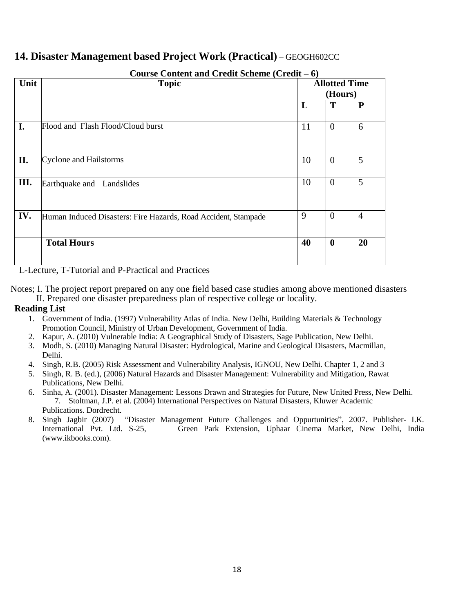### **14. Disaster Management based Project Work (Practical)** – GEOGH602CC

| Unit | Course Content and Credit Scheme (Credit $-6$ )<br><b>Topic</b> | <b>Allotted Time</b> |                |                |  |
|------|-----------------------------------------------------------------|----------------------|----------------|----------------|--|
|      |                                                                 |                      | (Hours)        |                |  |
|      |                                                                 | L                    | T              | ${\bf P}$      |  |
| I.   | Flood and Flash Flood/Cloud burst                               | 11                   | $\overline{0}$ | 6              |  |
| II.  | <b>Cyclone and Hailstorms</b>                                   | 10                   | $\theta$       | 5              |  |
| Ш.   | Earthquake and Landslides                                       | 10                   | $\overline{0}$ | 5              |  |
| IV.  | Human Induced Disasters: Fire Hazards, Road Accident, Stampade  | 9                    | $\overline{0}$ | $\overline{4}$ |  |
|      | <b>Total Hours</b>                                              | 40                   | $\bf{0}$       | 20             |  |

**Course Content and Credit Scheme (Credit – 6)**

L-Lecture, T-Tutorial and P-Practical and Practices

Notes; I. The project report prepared on any one field based case studies among above mentioned disasters II. Prepared one disaster preparedness plan of respective college or locality.

- 1. Government of India. (1997) Vulnerability Atlas of India. New Delhi, Building Materials & Technology Promotion Council, Ministry of Urban Development, Government of India.
- 2. Kapur, A. (2010) Vulnerable India: A Geographical Study of Disasters, Sage Publication, New Delhi.
- 3. Modh, S. (2010) Managing Natural Disaster: Hydrological, Marine and Geological Disasters, Macmillan, Delhi.
- 4. Singh, R.B. (2005) Risk Assessment and Vulnerability Analysis, IGNOU, New Delhi. Chapter 1, 2 and 3
- 5. Singh, R. B. (ed.), (2006) Natural Hazards and Disaster Management: Vulnerability and Mitigation, Rawat Publications, New Delhi.
- 6. Sinha, A. (2001). Disaster Management: Lessons Drawn and Strategies for Future, New United Press, New Delhi. 7. Stoltman, J.P. et al. (2004) International Perspectives on Natural Disasters, Kluwer Academic Publications. Dordrecht.
- 8. Singh Jagbir (2007) "Disaster Management Future Challenges and Oppurtunities", 2007. Publisher- I.K.<br>International Pvt. Ltd. S-25. Green Park Extension, Uphaar Cinema Market, New Delhi, India Green P[a](http://www.ikbooks.com/)rk Extension, Uphaar Cinema Market, New Delhi, India [\(www.ikbooks.com](http://www.ikbooks.com/)).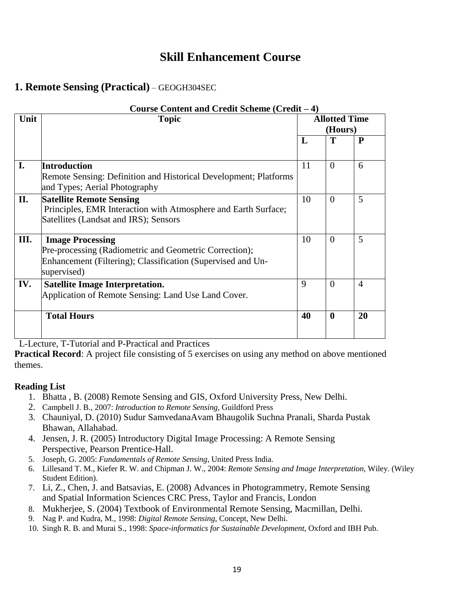## **Skill Enhancement Course**

### **1. Remote Sensing (Practical)** – GEOGH304SEC

|      | Course Content and Credit Scheme (Credit – 4)                                                                                                                   |    |                                 |                |  |  |  |
|------|-----------------------------------------------------------------------------------------------------------------------------------------------------------------|----|---------------------------------|----------------|--|--|--|
| Unit | <b>Topic</b>                                                                                                                                                    |    | <b>Allotted Time</b><br>(Hours) |                |  |  |  |
|      |                                                                                                                                                                 | L  | Т                               | $\mathbf{P}$   |  |  |  |
| I.   | <b>Introduction</b><br>Remote Sensing: Definition and Historical Development; Platforms<br>and Types; Aerial Photography                                        | 11 | $\Omega$                        | 6              |  |  |  |
| II.  | <b>Satellite Remote Sensing</b><br>Principles, EMR Interaction with Atmosphere and Earth Surface;<br>Satellites (Landsat and IRS); Sensors                      | 10 | $\Omega$                        | 5              |  |  |  |
| Ш.   | <b>Image Processing</b><br>Pre-processing (Radiometric and Geometric Correction);<br>Enhancement (Filtering); Classification (Supervised and Un-<br>supervised) | 10 | $\theta$                        | 5              |  |  |  |
| IV.  | <b>Satellite Image Interpretation.</b><br>Application of Remote Sensing: Land Use Land Cover.                                                                   | 9  | $\Omega$                        | $\overline{4}$ |  |  |  |
|      | <b>Total Hours</b>                                                                                                                                              | 40 | $\mathbf{0}$                    | 20             |  |  |  |

L-Lecture, T-Tutorial and P-Practical and Practices

**Practical Record**: A project file consisting of 5 exercises on using any method on above mentioned themes.

- 1. Bhatta , B. (2008) Remote Sensing and GIS, Oxford University Press, New Delhi.
- 2. Campbell J. B., 2007: *Introduction to Remote Sensing*, Guildford Press
- 3. Chauniyal, D. (2010) Sudur SamvedanaAvam Bhaugolik Suchna Pranali, Sharda Pustak Bhawan, Allahabad.
- 4. Jensen, J. R. (2005) Introductory Digital Image Processing: A Remote Sensing Perspective, Pearson Prentice-Hall.
- 5. Joseph, G. 2005: *Fundamentals of Remote Sensing*, United Press India.
- 6. Lillesand T. M., Kiefer R. W. and Chipman J. W., 2004: *Remote Sensing and Image Interpretation*, Wiley. (Wiley Student Edition).
- 7. Li, Z., Chen, J. and Batsavias, E. (2008) Advances in Photogrammetry, Remote Sensing and Spatial Information Sciences CRC Press, Taylor and Francis, London
- 8. Mukherjee, S. (2004) Textbook of Environmental Remote Sensing, Macmillan, Delhi.
- 9. Nag P. and Kudra, M., 1998: *Digital Remote Sensing*, Concept, New Delhi.
- 10. Singh R. B. and Murai S., 1998: *Space-informatics for Sustainable Development*, Oxford and IBH Pub.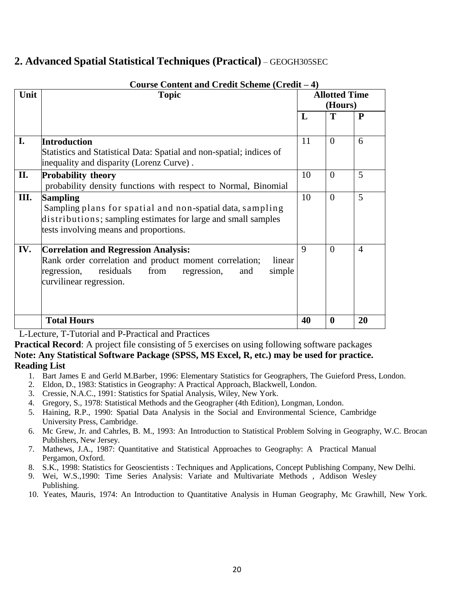### **2. Advanced Spatial Statistical Techniques (Practical)** – GEOGH305SEC

| Unit | <b>Topic</b>                                                                                                                                                                                                   | <b>Allotted Time</b><br>(Hours) |          |                |
|------|----------------------------------------------------------------------------------------------------------------------------------------------------------------------------------------------------------------|---------------------------------|----------|----------------|
|      |                                                                                                                                                                                                                | L                               | T        | P              |
| I.   | <b>Introduction</b><br>Statistics and Statistical Data: Spatial and non-spatial; indices of<br>inequality and disparity (Lorenz Curve).                                                                        | 11                              | $\Omega$ | 6              |
| П.   | <b>Probability theory</b><br>probability density functions with respect to Normal, Binomial                                                                                                                    | 10                              | $\Omega$ | 5              |
| Ш.   | <b>Sampling</b><br>Sampling plans for spatial and non-spatial data, sampling<br>distributions; sampling estimates for large and small samples<br>tests involving means and proportions.                        | 10                              | $\Omega$ | 5              |
| IV.  | <b>Correlation and Regression Analysis:</b><br>Rank order correlation and product moment correlation;<br>linear<br>simple<br>regression,<br>residuals<br>from<br>regression,<br>and<br>curvilinear regression. | 9                               | $\Omega$ | $\overline{4}$ |
|      | <b>Total Hours</b>                                                                                                                                                                                             | 40                              | $\bf{0}$ | 20             |

**Course Content and Credit Scheme (Credit – 4)**

L-Lecture, T-Tutorial and P-Practical and Practices

**Practical Record:** A project file consisting of 5 exercises on using following software packages **Note: Any Statistical Software Package (SPSS, MS Excel, R, etc.) may be used for practice. Reading List**

- 1. Bart James E and Gerld M.Barber, 1996: Elementary Statistics for Geographers, The Guieford Press, London.
- 2. Eldon, D., 1983: Statistics in Geography: A Practical Approach, Blackwell, London.
- 3. Cressie, N.A.C., 1991: Statistics for Spatial Analysis, Wiley, New York.
- 4. Gregory, S., 1978: Statistical Methods and the Geographer (4th Edition), Longman, London.
- 5. Haining, R.P., 1990: Spatial Data Analysis in the Social and Environmental Science, Cambridge University Press, Cambridge.
- 6. Mc Grew, Jr. and Cahrles, B. M., 1993: An Introduction to Statistical Problem Solving in Geography, W.C. Brocan Publishers, New Jersey.
- 7. Mathews, J.A., 1987: Quantitative and Statistical Approaches to Geography: A Practical Manual Pergamon, Oxford.
- 8. S.K., 1998: Statistics for Geoscientists : Techniques and Applications, Concept Publishing Company, New Delhi.
- 9. Wei, W.S.,1990: Time Series Analysis: Variate and Multivariate Methods , Addison Wesley Publishing.
- 10. Yeates, Mauris, 1974: An Introduction to Quantitative Analysis in Human Geography, Mc Grawhill, New York.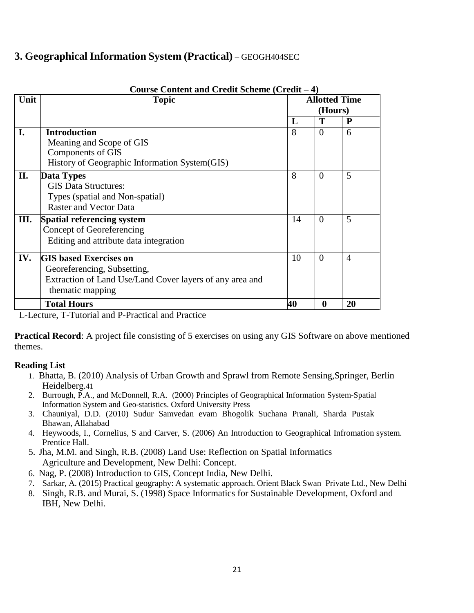### **3. Geographical Information System (Practical)** – GEOGH404SEC

|      | Course Content and Credit Scheme (Credit - 4)            |           |                      |                |  |  |  |
|------|----------------------------------------------------------|-----------|----------------------|----------------|--|--|--|
| Unit | <b>Topic</b>                                             |           | <b>Allotted Time</b> |                |  |  |  |
|      |                                                          |           | (Hours)              |                |  |  |  |
|      |                                                          | L         | Т                    | P              |  |  |  |
| I.   | <b>Introduction</b>                                      | 8         | $\Omega$             | 6              |  |  |  |
|      | Meaning and Scope of GIS                                 |           |                      |                |  |  |  |
|      | Components of GIS                                        |           |                      |                |  |  |  |
|      | History of Geographic Information System (GIS)           |           |                      |                |  |  |  |
| II.  | Data Types                                               | 8         | $\Omega$             | 5              |  |  |  |
|      | <b>GIS Data Structures:</b>                              |           |                      |                |  |  |  |
|      | Types (spatial and Non-spatial)                          |           |                      |                |  |  |  |
|      | <b>Raster and Vector Data</b>                            |           |                      |                |  |  |  |
| Ш.   | <b>Spatial referencing system</b>                        | 14        | $\Omega$             | 5              |  |  |  |
|      | Concept of Georeferencing                                |           |                      |                |  |  |  |
|      | Editing and attribute data integration                   |           |                      |                |  |  |  |
| IV.  | <b>GIS based Exercises on</b>                            | 10        | $\Omega$             | $\overline{A}$ |  |  |  |
|      | Georeferencing, Subsetting,                              |           |                      |                |  |  |  |
|      | Extraction of Land Use/Land Cover layers of any area and |           |                      |                |  |  |  |
|      | thematic mapping                                         |           |                      |                |  |  |  |
|      | <b>Total Hours</b>                                       | <b>40</b> | 0                    | 20             |  |  |  |

### **Course Content and Credit Scheme (Credit – 4)**

L-Lecture, T-Tutorial and P-Practical and Practice

**Practical Record:** A project file consisting of 5 exercises on using any GIS Software on above mentioned themes.

- 1. Bhatta, B. (2010) Analysis of Urban Growth and Sprawl from Remote Sensing,Springer, Berlin Heidelberg.41
- 2. Burrough, P.A., and McDonnell, R.A. (2000) Principles of Geographical Information System-Spatial Information System and Geo-statistics. Oxford University Press
- 3. Chauniyal, D.D. (2010) Sudur Samvedan evam Bhogolik Suchana Pranali, Sharda Pustak Bhawan, Allahabad
- 4. Heywoods, I., Cornelius, S and Carver, S. (2006) An Introduction to Geographical Infromation system. Prentice Hall.
- 5. Jha, M.M. and Singh, R.B. (2008) Land Use: Reflection on Spatial Informatics Agriculture and Development, New Delhi: Concept.
- 6. Nag, P. (2008) Introduction to GIS, Concept India, New Delhi.
- 7. Sarkar, A. (2015) Practical geography: A systematic approach. Orient Black Swan Private Ltd., New Delhi
- 8. Singh, R.B. and Murai, S. (1998) Space Informatics for Sustainable Development, Oxford and IBH, New Delhi.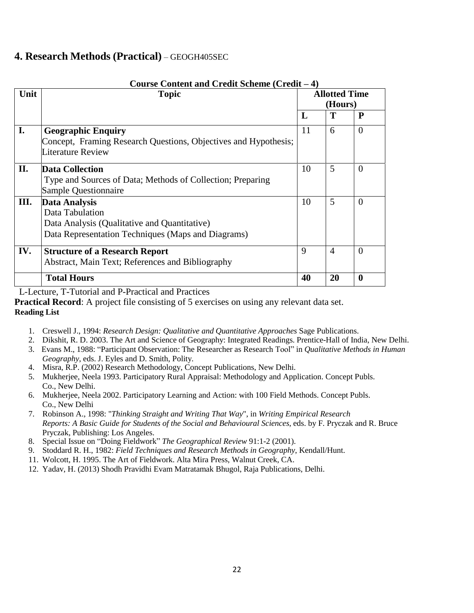### **4. Research Methods (Practical)** – GEOGH405SEC

| Unit | <b>Topic</b>                                                                                                                                  |    | <b>Allotted Time</b><br>(Hours)<br>T<br>$\mathbf{P}$ |              |  |
|------|-----------------------------------------------------------------------------------------------------------------------------------------------|----|------------------------------------------------------|--------------|--|
|      |                                                                                                                                               | L  |                                                      |              |  |
| I.   | <b>Geographic Enquiry</b><br>Concept, Framing Research Questions, Objectives and Hypothesis;<br>Literature Review                             | 11 | 6                                                    | $\Omega$     |  |
| II.  | <b>Data Collection</b><br>Type and Sources of Data; Methods of Collection; Preparing<br>Sample Questionnaire                                  | 10 | 5                                                    | $\theta$     |  |
| III. | <b>Data Analysis</b><br>Data Tabulation<br>Data Analysis (Qualitative and Quantitative)<br>Data Representation Techniques (Maps and Diagrams) | 10 | 5                                                    | $\Omega$     |  |
| IV.  | <b>Structure of a Research Report</b><br>Abstract, Main Text; References and Bibliography                                                     | 9  | $\overline{4}$                                       | $\Omega$     |  |
|      | <b>Total Hours</b>                                                                                                                            | 40 | 20                                                   | $\mathbf{0}$ |  |

### **Course Content and Credit Scheme (Credit – 4)**

L-Lecture, T-Tutorial and P-Practical and Practices

**Practical Record**: A project file consisting of 5 exercises on using any relevant data set.

- 1. Creswell J., 1994: *Research Design: Qualitative and Quantitative Approaches* Sage Publications.
- 2. Dikshit, R. D. 2003. The Art and Science of Geography: Integrated Readings. Prentice-Hall of India, New Delhi.
- 3. Evans M., 1988: "Participant Observation: The Researcher as Research Tool" in *Qualitative Methods in Human Geography*, eds. J. Eyles and D. Smith, Polity.
- 4. Misra, R.P. (2002) Research Methodology, Concept Publications, New Delhi.
- 5. Mukherjee, Neela 1993. Participatory Rural Appraisal: Methodology and Application. Concept Publs. Co., New Delhi.
- 6. Mukherjee, Neela 2002. Participatory Learning and Action: with 100 Field Methods. Concept Publs. Co., New Delhi
- 7. Robinson A., 1998: "*Thinking Straight and Writing That Way*", in *Writing Empirical Research Reports: A Basic Guide for Students of the Social and Behavioural Sciences*, eds. by F. Pryczak and R. Bruce Pryczak, Publishing: Los Angeles.
- 8. Special Issue on "Doing Fieldwork" *The Geographical Review* 91:1-2 (2001).
- 9. Stoddard R. H., 1982: *Field Techniques and Research Methods in Geography*, Kendall/Hunt.
- 11. Wolcott, H. 1995. The Art of Fieldwork. Alta Mira Press, Walnut Creek, CA.
- 12. Yadav, H. (2013) Shodh Pravidhi Evam Matratamak Bhugol, Raja Publications, Delhi.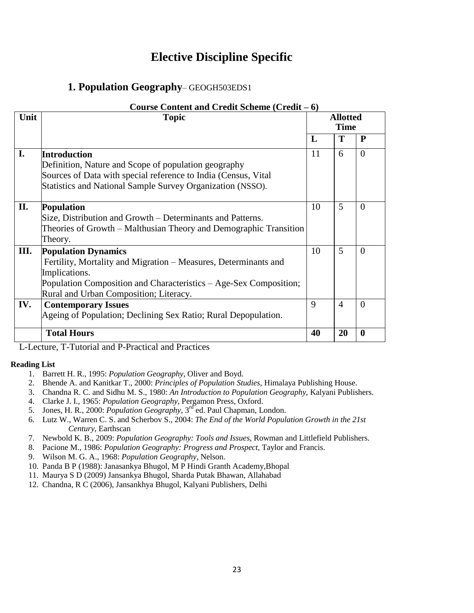## **Elective Discipline Specific**

### **1. Population Geography**– GEOGH503EDS1

| Course Content and Credit Scheme (Credit – 6) |                                                                   |    |                                |                  |  |
|-----------------------------------------------|-------------------------------------------------------------------|----|--------------------------------|------------------|--|
| Unit                                          | <b>Topic</b>                                                      |    | <b>Allotted</b><br><b>Time</b> |                  |  |
|                                               |                                                                   |    |                                |                  |  |
|                                               |                                                                   | L  | Т                              | P                |  |
| I.                                            | <b>Introduction</b>                                               | 11 | 6                              | $\Omega$         |  |
|                                               | Definition, Nature and Scope of population geography              |    |                                |                  |  |
|                                               | Sources of Data with special reference to India (Census, Vital    |    |                                |                  |  |
|                                               | Statistics and National Sample Survey Organization (NSSO).        |    |                                |                  |  |
|                                               |                                                                   |    |                                |                  |  |
| II.                                           | <b>Population</b>                                                 | 10 | 5                              | $\Omega$         |  |
|                                               | Size, Distribution and Growth – Determinants and Patterns.        |    |                                |                  |  |
|                                               | Theories of Growth – Malthusian Theory and Demographic Transition |    |                                |                  |  |
|                                               | Theory.                                                           |    |                                |                  |  |
| III.                                          | <b>Population Dynamics</b>                                        | 10 | 5                              | $\Omega$         |  |
|                                               | Fertility, Mortality and Migration – Measures, Determinants and   |    |                                |                  |  |
|                                               | Implications.                                                     |    |                                |                  |  |
|                                               | Population Composition and Characteristics – Age-Sex Composition; |    |                                |                  |  |
|                                               | Rural and Urban Composition; Literacy.                            |    |                                |                  |  |
| IV.                                           | <b>Contemporary Issues</b>                                        | 9  | $\overline{4}$                 | $\Omega$         |  |
|                                               | Ageing of Population; Declining Sex Ratio; Rural Depopulation.    |    |                                |                  |  |
|                                               |                                                                   |    |                                |                  |  |
|                                               | <b>Total Hours</b>                                                | 40 | 20                             | $\boldsymbol{0}$ |  |

L-Lecture, T-Tutorial and P-Practical and Practices

- 1. Barrett H. R., 1995: *Population Geography*, Oliver and Boyd.
- 2. Bhende A. and Kanitkar T., 2000: *Principles of Population Studies*, Himalaya Publishing House.
- 3. Chandna R. C. and Sidhu M. S., 1980: *An Introduction to Population Geography*, Kalyani Publishers.
- 4. Clarke J. I., 1965: *Population Geography*, Pergamon Press, Oxford.
- 5. Jones, H. R., 2000: *Population Geography*, 3<sup>rd</sup>ed. Paul Chapman, London.
- 6. Lutz W., Warren C. S. and Scherbov S., 2004: *The End of the World Population Growth in the 21st Century*, Earthscan
- 7. Newbold K. B., 2009: *Population Geography: Tools and Issues*, Rowman and Littlefield Publishers.
- 8. Pacione M., 1986: *Population Geography: Progress and Prospect*, Taylor and Francis.
- 9. Wilson M. G. A., 1968: *Population Geography*, Nelson.
- 10. Panda B P (1988): Janasankya Bhugol, M P Hindi Granth Academy,Bhopal
- 11. Maurya S D (2009) Jansankya Bhugol, Sharda Putak Bhawan, Allahabad
- 12. Chandna, R C (2006), Jansankhya Bhugol, Kalyani Publishers, Delhi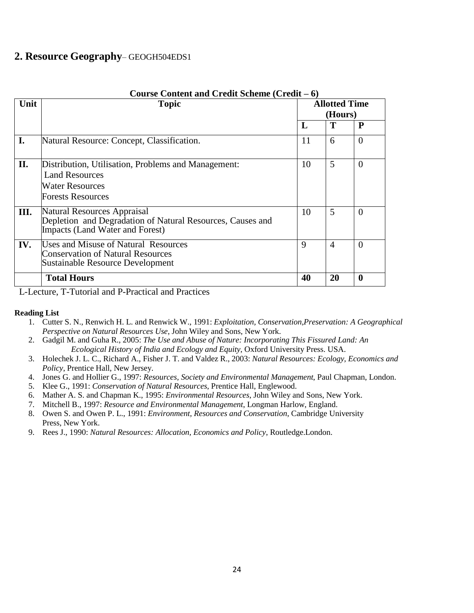### **2. Resource Geography**– GEOGH504EDS1

|      | Course Content and Credit Scheme (Credit – 6)                                                                                      |    |                                 |                |  |  |  |
|------|------------------------------------------------------------------------------------------------------------------------------------|----|---------------------------------|----------------|--|--|--|
| Unit | <b>Topic</b>                                                                                                                       |    | <b>Allotted Time</b><br>(Hours) |                |  |  |  |
|      |                                                                                                                                    | L  | Т                               | P              |  |  |  |
| I.   | Natural Resource: Concept, Classification.                                                                                         | 11 | 6                               | $\overline{0}$ |  |  |  |
| П.   | Distribution, Utilisation, Problems and Management:<br><b>Land Resources</b><br><b>Water Resources</b><br><b>Forests Resources</b> | 10 | 5                               | $\theta$       |  |  |  |
| Ш.   | Natural Resources Appraisal<br>Depletion and Degradation of Natural Resources, Causes and<br>Impacts (Land Water and Forest)       | 10 | 5                               | $\Omega$       |  |  |  |
| IV.  | <b>Uses and Misuse of Natural Resources</b><br><b>Conservation of Natural Resources</b><br>Sustainable Resource Development        | 9  | $\overline{A}$                  | $\Omega$       |  |  |  |
|      | <b>Total Hours</b>                                                                                                                 | 40 | 20                              | $\mathbf{0}$   |  |  |  |

L-Lecture, T-Tutorial and P-Practical and Practices

- 1. Cutter S. N., Renwich H. L. and Renwick W., 1991: *Exploitation, Conservation,Preservation: A Geographical Perspective on Natural Resources Use*, John Wiley and Sons, New York.
- 2. Gadgil M. and Guha R., 2005: *The Use and Abuse of Nature: Incorporating This Fissured Land: An Ecological History of India and Ecology and Equity*, Oxford University Press. USA.
- 3. Holechek J. L. C., Richard A., Fisher J. T. and Valdez R., 2003: *Natural Resources: Ecology, Economics and Policy*, Prentice Hall, New Jersey.
- 4. Jones G. and Hollier G., 1997: *Resources, Society and Environmental Management*, Paul Chapman, London.
- 5. Klee G., 1991: *Conservation of Natural Resources*, Prentice Hall, Englewood.
- 6. Mather A. S. and Chapman K., 1995: *Environmental Resources*, John Wiley and Sons, New York.
- 7. Mitchell B., 1997: *Resource and Environmental Management*, Longman Harlow, England.
- 8. Owen S. and Owen P. L., 1991: *Environment, Resources and Conservation*, Cambridge University Press, New York.
- 9. Rees J., 1990: *Natural Resources: Allocation, Economics and Policy*, Routledge.London.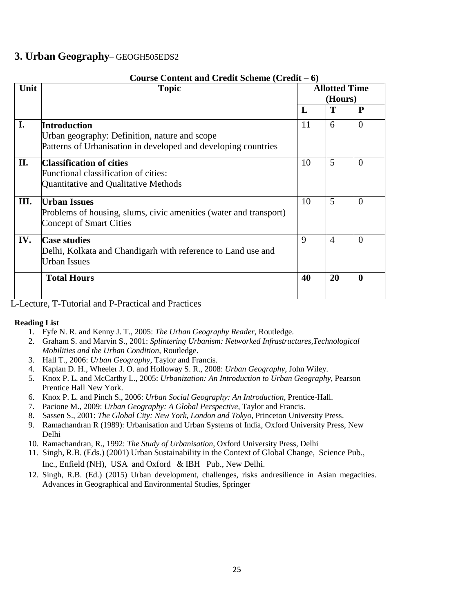### **3. Urban Geography**– GEOGH505EDS2

|      | Course Content and Credit Scheme (Credit – 6)                                                                                   |    |                                 |              |  |  |  |
|------|---------------------------------------------------------------------------------------------------------------------------------|----|---------------------------------|--------------|--|--|--|
| Unit | <b>Topic</b>                                                                                                                    |    | <b>Allotted Time</b><br>(Hours) |              |  |  |  |
|      |                                                                                                                                 | L  | T                               | $\mathbf{P}$ |  |  |  |
| I.   | Introduction<br>Urban geography: Definition, nature and scope<br>Patterns of Urbanisation in developed and developing countries | 11 | 6                               | $\theta$     |  |  |  |
| II.  | <b>Classification of cities</b><br>Functional classification of cities:<br>Quantitative and Qualitative Methods                 | 10 | 5                               | $\Omega$     |  |  |  |
| Ш.   | <b>Urban Issues</b><br>Problems of housing, slums, civic amenities (water and transport)<br><b>Concept of Smart Cities</b>      | 10 | 5                               | $\theta$     |  |  |  |
| IV.  | <b>Case studies</b><br>Delhi, Kolkata and Chandigarh with reference to Land use and<br><b>Urban Issues</b>                      | 9  | $\overline{4}$                  | $\Omega$     |  |  |  |
|      | <b>Total Hours</b>                                                                                                              | 40 | 20                              | $\mathbf{0}$ |  |  |  |

L-Lecture, T-Tutorial and P-Practical and Practices

- 1. Fyfe N. R. and Kenny J. T., 2005: *The Urban Geography Reader*, Routledge.
- 2. Graham S. and Marvin S., 2001: *Splintering Urbanism: Networked Infrastructures,Technological Mobilities and the Urban Condition*, Routledge.
- 3. Hall T., 2006: *Urban Geography*, Taylor and Francis.
- 4. Kaplan D. H., Wheeler J. O. and Holloway S. R., 2008: *Urban Geography*, John Wiley.
- 5. Knox P. L. and McCarthy L., 2005: *Urbanization: An Introduction to Urban Geography*, Pearson Prentice Hall New York.
- 6. Knox P. L. and Pinch S., 2006: *Urban Social Geography: An Introduction*, Prentice-Hall.
- 7. Pacione M., 2009: *Urban Geography: A Global Perspective*, Taylor and Francis.
- 8. Sassen S., 2001: *The Global City: New York, London and Tokyo*, Princeton University Press.
- 9. Ramachandran R (1989): Urbanisation and Urban Systems of India, Oxford University Press, New Delhi
- 10. Ramachandran, R., 1992: *The Study of Urbanisation*, Oxford University Press, Delhi
- 11. Singh, R.B. (Eds.) (2001) Urban Sustainability in the Context of Global Change, Science Pub., Inc., Enfield (NH), USA and Oxford & IBH Pub., New Delhi.
- 12. Singh, R.B. (Ed.) (2015) Urban development, challenges, risks andresilience in Asian megacities. Advances in Geographical and Environmental Studies, Springer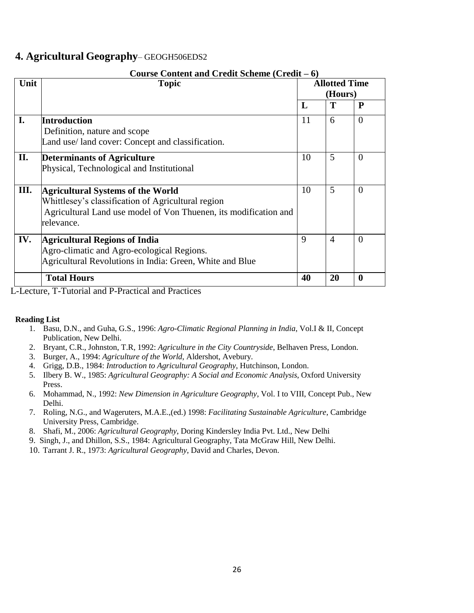### **4. Agricultural Geography**– GEOGH506EDS2

|      | Course Content and Credit Scheme (Credit – 6)                    |    |                      |          |
|------|------------------------------------------------------------------|----|----------------------|----------|
| Unit | <b>Topic</b>                                                     |    | <b>Allotted Time</b> |          |
|      |                                                                  |    | (Hours)              |          |
|      |                                                                  | L  | T                    | P        |
| I.   | <b>Introduction</b>                                              | 11 | 6                    | $\Omega$ |
|      | Definition, nature and scope                                     |    |                      |          |
|      | Land use/land cover: Concept and classification.                 |    |                      |          |
| II.  | <b>Determinants of Agriculture</b>                               | 10 | 5                    | $\theta$ |
|      | Physical, Technological and Institutional                        |    |                      |          |
|      |                                                                  |    |                      |          |
| Ш.   | <b>Agricultural Systems of the World</b>                         | 10 | 5                    | $\theta$ |
|      | Whittlesey's classification of Agricultural region               |    |                      |          |
|      | Agricultural Land use model of Von Thuenen, its modification and |    |                      |          |
|      | relevance.                                                       |    |                      |          |
| IV.  | <b>Agricultural Regions of India</b>                             | 9  | $\overline{A}$       | $\Omega$ |
|      | Agro-climatic and Agro-ecological Regions.                       |    |                      |          |
|      |                                                                  |    |                      |          |
|      | Agricultural Revolutions in India: Green, White and Blue         |    |                      |          |
|      | <b>Total Hours</b>                                               | 40 | 20                   | $\bf{0}$ |

#### **Course Content and Credit Scheme (Credit – 6)**

L-Lecture, T-Tutorial and P-Practical and Practices

- 1. Basu, D.N., and Guha, G.S., 1996: *Agro-Climatic Regional Planning in India*, Vol.I & II, Concept Publication, New Delhi.
- 2. Bryant, C.R., Johnston, T.R, 1992: *Agriculture in the City Countryside*, Belhaven Press, London.
- 3. Burger, A., 1994: *Agriculture of the World*, Aldershot, Avebury.
- 4. Grigg, D.B., 1984: *Introduction to Agricultural Geography*, Hutchinson, London.
- 5. Ilbery B. W., 1985: *Agricultural Geography: A Social and Economic Analysis*, Oxford University Press.
- 6. Mohammad, N., 1992: *New Dimension in Agriculture Geography*, Vol. I to VIII, Concept Pub., New Delhi.
- 7. Roling, N.G., and Wageruters, M.A.E.,(ed.) 1998: *Facilitating Sustainable Agriculture*, Cambridge University Press, Cambridge.
- 8. Shafi, M., 2006: *Agricultural Geography*, Doring Kindersley India Pvt. Ltd., New Delhi
- 9. Singh, J., and Dhillon, S.S., 1984: Agricultural Geography, Tata McGraw Hill, New Delhi.
- 10. Tarrant J. R., 1973: *Agricultural Geography*, David and Charles, Devon.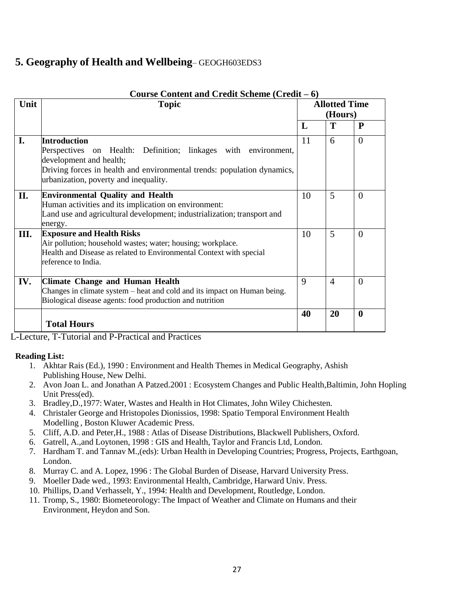### **5. Geography of Health and Wellbeing**– GEOGH603EDS3

| Unit | $\mathbf c$ contribution and $\mathbf c$ contribution ( $\mathbf c$ current $\mathbf c$<br><b>Topic</b>                                                                                                                              |    | <b>Allotted Time</b> |              |  |  |
|------|--------------------------------------------------------------------------------------------------------------------------------------------------------------------------------------------------------------------------------------|----|----------------------|--------------|--|--|
|      |                                                                                                                                                                                                                                      |    | (Hours)              |              |  |  |
|      |                                                                                                                                                                                                                                      | L  | T                    | $\mathbf{P}$ |  |  |
| I.   | <b>Introduction</b><br>Perspectives on Health: Definition; linkages with environment,<br>development and health;<br>Driving forces in health and environmental trends: population dynamics,<br>urbanization, poverty and inequality. | 11 | 6                    | $\Omega$     |  |  |
| II.  | <b>Environmental Quality and Health</b><br>Human activities and its implication on environment:<br>Land use and agricultural development; industrialization; transport and<br>energy.                                                | 10 | 5                    | $\Omega$     |  |  |
| Ш.   | <b>Exposure and Health Risks</b><br>Air pollution; household wastes; water; housing; workplace.<br>Health and Disease as related to Environmental Context with special<br>reference to India.                                        | 10 | 5                    | $\Omega$     |  |  |
| IV.  | <b>Climate Change and Human Health</b><br>Changes in climate system – heat and cold and its impact on Human being.<br>Biological disease agents: food production and nutrition                                                       | 9  | $\overline{4}$       | $\Omega$     |  |  |
|      | <b>Total Hours</b>                                                                                                                                                                                                                   | 40 | 20                   | $\mathbf{0}$ |  |  |

#### **Course Content and Credit Scheme (Credit – 6)**

L-Lecture, T-Tutorial and P-Practical and Practices

- 1. Akhtar Rais (Ed.), 1990 : Environment and Health Themes in Medical Geography, Ashish Publishing House, New Delhi.
- 2. Avon Joan L. and Jonathan A Patzed.2001 : Ecosystem Changes and Public Health,Baltimin, John Hopling Unit Press(ed).
- 3. Bradley,D.,1977: Water, Wastes and Health in Hot Climates, John Wiley Chichesten.
- 4. Christaler George and Hristopoles Dionissios, 1998: Spatio Temporal Environment Health Modelling , Boston Kluwer Academic Press.
- 5. Cliff, A.D. and Peter,H., 1988 : Atlas of Disease Distributions, Blackwell Publishers, Oxford.
- 6. Gatrell, A.,and Loytonen, 1998 : GIS and Health, Taylor and Francis Ltd, London.
- 7. Hardham T. and Tannav M.,(eds): Urban Health in Developing Countries; Progress, Projects, Earthgoan, London.
- 8. Murray C. and A. Lopez, 1996 : The Global Burden of Disease, Harvard University Press.
- 9. Moeller Dade wed., 1993: Environmental Health, Cambridge, Harward Univ. Press.
- 10. Phillips, D.and Verhasselt, Y., 1994: Health and Development, Routledge, London.
- 11. Tromp, S., 1980: Biometeorology: The Impact of Weather and Climate on Humans and their Environment, Heydon and Son.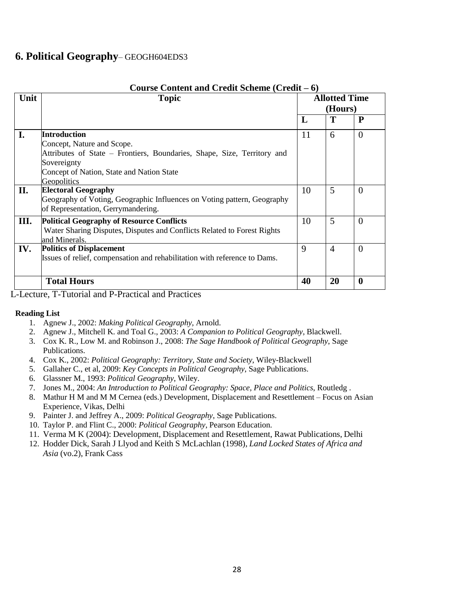### **6. Political Geography**– GEOGH604EDS3

| Unit | <b>Topic</b>                                                                                                                                                                                            |    | <b>Allotted Time</b><br>(Hours) |              |  |
|------|---------------------------------------------------------------------------------------------------------------------------------------------------------------------------------------------------------|----|---------------------------------|--------------|--|
|      |                                                                                                                                                                                                         | L  | T                               | P            |  |
| I.   | <b>Introduction</b><br>Concept, Nature and Scope.<br>Attributes of State – Frontiers, Boundaries, Shape, Size, Territory and<br>Sovereignty<br>Concept of Nation, State and Nation State<br>Geopolitics | 11 | 6                               | $\Omega$     |  |
| II.  | <b>Electoral Geography</b><br>Geography of Voting, Geographic Influences on Voting pattern, Geography<br>of Representation, Gerrymandering.                                                             | 10 | 5                               | $\theta$     |  |
| Ш.   | <b>Political Geography of Resource Conflicts</b><br>Water Sharing Disputes, Disputes and Conflicts Related to Forest Rights<br>and Minerals.                                                            | 10 | 5                               | $\Omega$     |  |
| IV.  | <b>Politics of Displacement</b><br>Issues of relief, compensation and rehabilitation with reference to Dams.                                                                                            | 9  | $\overline{4}$                  | $\Omega$     |  |
|      | <b>Total Hours</b>                                                                                                                                                                                      | 40 | 20                              | $\mathbf{0}$ |  |

#### **Course Content and Credit Scheme (Credit – 6)**

L-Lecture, T-Tutorial and P-Practical and Practices

- 1. Agnew J., 2002: *Making Political Geography,* Arnold.
- 2. Agnew J., Mitchell K. and Toal G., 2003: *A Companion to Political Geography*, Blackwell.
- 3. Cox K. R., Low M. and Robinson J., 2008: *The Sage Handbook of Political Geography*, Sage Publications.
- 4. Cox K., 2002: *Political Geography: Territory, State and Society*, Wiley-Blackwell
- 5. Gallaher C., et al, 2009: *Key Concepts in Political Geography*, Sage Publications.
- 6. Glassner M., 1993: *Political Geography*, Wiley.
- 7. Jones M., 2004: *An Introduction to Political Geography: Space, Place and Politics*, Routledg .
- 8. Mathur H M and M M Cernea (eds.) Development, Displacement and Resettlement Focus on Asian Experience, Vikas, Delhi
- 9. Painter J. and Jeffrey A., 2009: *Political Geography*, Sage Publications.
- 10. Taylor P. and Flint C., 2000: *Political Geography*, Pearson Education.
- 11. Verma M K (2004): Development, Displacement and Resettlement, Rawat Publications, Delhi
- 12. Hodder Dick, Sarah J Llyod and Keith S McLachlan (1998), *Land Locked States of Africa and Asia* (vo.2), Frank Cass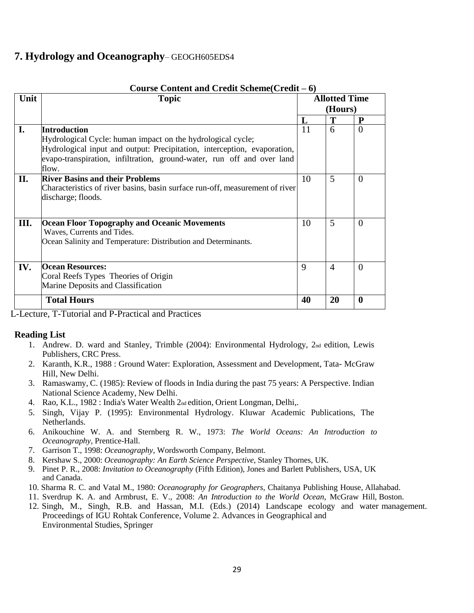### **7. Hydrology and Oceanography**– GEOGH605EDS4

| Unit | <b>Topic</b>                                                                 |    | <b>Allotted Time</b> |                  |  |  |
|------|------------------------------------------------------------------------------|----|----------------------|------------------|--|--|
|      |                                                                              |    | (Hours)              |                  |  |  |
|      |                                                                              | L  | Т                    | P                |  |  |
| I.   | <b>Introduction</b>                                                          | 11 | 6                    | $\overline{0}$   |  |  |
|      | Hydrological Cycle: human impact on the hydrological cycle;                  |    |                      |                  |  |  |
|      | Hydrological input and output: Precipitation, interception, evaporation,     |    |                      |                  |  |  |
|      | evapo-transpiration, infiltration, ground-water, run off and over land       |    |                      |                  |  |  |
|      | flow.                                                                        |    |                      |                  |  |  |
| II.  | <b>River Basins and their Problems</b>                                       | 10 | 5                    | $\overline{0}$   |  |  |
|      | Characteristics of river basins, basin surface run-off, measurement of river |    |                      |                  |  |  |
|      | discharge; floods.                                                           |    |                      |                  |  |  |
|      |                                                                              |    |                      |                  |  |  |
| III. | <b>Ocean Floor Topography and Oceanic Movements</b>                          | 10 | 5                    | $\Omega$         |  |  |
|      | Waves, Currents and Tides.                                                   |    |                      |                  |  |  |
|      | Ocean Salinity and Temperature: Distribution and Determinants.               |    |                      |                  |  |  |
|      |                                                                              |    |                      |                  |  |  |
|      |                                                                              |    |                      |                  |  |  |
| IV.  | <b>Ocean Resources:</b>                                                      | 9  | $\overline{4}$       | $\Omega$         |  |  |
|      | Coral Reefs Types Theories of Origin                                         |    |                      |                  |  |  |
|      | Marine Deposits and Classification                                           |    |                      |                  |  |  |
|      | <b>Total Hours</b>                                                           | 40 | 20                   | $\boldsymbol{0}$ |  |  |

#### **Course Content and Credit Scheme(Credit – 6)**

L-Lecture, T-Tutorial and P-Practical and Practices

- 1. Andrew. D. ward and Stanley, Trimble (2004): Environmental Hydrology, 2nd edition, Lewis Publishers, CRC Press.
- 2. Karanth, K.R., 1988 : Ground Water: Exploration, Assessment and Development, Tata- McGraw Hill, New Delhi.
- 3. Ramaswamy, C. (1985): Review of floods in India during the past 75 years: A Perspective. Indian National Science Academy, New Delhi.
- 4. Rao, K.L., 1982 : India's Water Wealth 2nd edition, Orient Longman, Delhi,.
- 5. Singh, Vijay P. (1995): Environmental Hydrology. Kluwar Academic Publications, The Netherlands.
- 6. Anikouchine W. A. and Sternberg R. W., 1973: *The World Oceans: An Introduction to Oceanography*, Prentice-Hall.
- 7. Garrison T., 1998: *Oceanography*, Wordsworth Company, Belmont.
- 8. Kershaw S., 2000: *Oceanography: An Earth Science Perspective*, Stanley Thornes, UK.
- 9. Pinet P. R., 2008: *Invitation to Oceanography* (Fifth Edition), Jones and Barlett Publishers, USA, UK and Canada.
- 10. Sharma R. C. and Vatal M., 1980: *Oceanography for Geographers*, Chaitanya Publishing House, Allahabad.
- 11. Sverdrup K. A. and Armbrust, E. V., 2008: *An Introduction to the World Ocean*, McGraw Hill, Boston.
- 12. Singh, M., Singh, R.B. and Hassan, M.I. (Eds.) (2014) Landscape ecology and water management. Proceedings of IGU Rohtak Conference, Volume 2. Advances in Geographical and Environmental Studies, Springer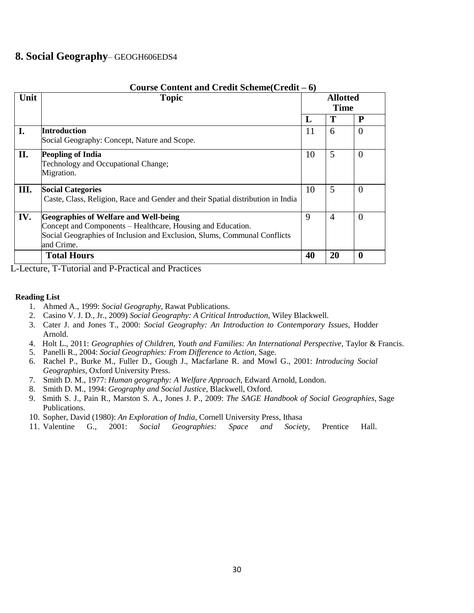### **8. Social Geography**– GEOGH606EDS4

| Unit | <b>Topic</b>                                                                                                                                                                                          |             | <b>Allotted</b><br><b>Time</b> |             |  |
|------|-------------------------------------------------------------------------------------------------------------------------------------------------------------------------------------------------------|-------------|--------------------------------|-------------|--|
|      |                                                                                                                                                                                                       | L           | T                              | $\mathbf P$ |  |
| I.   | Introduction<br>Social Geography: Concept, Nature and Scope.                                                                                                                                          | 11          | 6                              | $\theta$    |  |
| II.  | <b>Peopling of India</b><br>Technology and Occupational Change;<br>Migration.                                                                                                                         | 10          | 5                              | $\theta$    |  |
| III. | <b>Social Categories</b><br>Caste, Class, Religion, Race and Gender and their Spatial distribution in India                                                                                           | 10          | 5                              | $\Omega$    |  |
| IV.  | <b>Geographies of Welfare and Well-being</b><br>Concept and Components – Healthcare, Housing and Education.<br>Social Geographies of Inclusion and Exclusion, Slums, Communal Conflicts<br>and Crime. | $\mathbf Q$ | $\overline{4}$                 | $\Omega$    |  |
|      | <b>Total Hours</b>                                                                                                                                                                                    | 40          | 20                             | $\bf{0}$    |  |

**Course Content and Credit Scheme(Credit – 6)**

L-Lecture, T-Tutorial and P-Practical and Practices

- 1. Ahmed A., 1999: *Social Geography*, Rawat Publications.
- 2. Casino V. J. D., Jr., 2009) *Social Geography: A Critical Introduction*, Wiley Blackwell.
- 3. Cater J. and Jones T., 2000: *Social Geography: An Introduction to Contemporary Issues*, Hodder Arnold.
- 4. Holt L., 2011: *Geographies of Children, Youth and Families: An International Perspective,* Taylor & Francis.
- 5. Panelli R., 2004: *Social Geographies: From Difference to Action*, Sage.
- 6. Rachel P., Burke M., Fuller D., Gough J., Macfarlane R. and Mowl G., 2001: *Introducing Social Geographies,* Oxford University Press.
- 7. Smith D. M., 1977: *Human geography: A Welfare Approach*, Edward Arnold, London.
- 8. Smith D. M., 1994: *Geography and Social Justice*, Blackwell, Oxford.
- 9. Smith S. J., Pain R., Marston S. A., Jones J. P., 2009: *The SAGE Handbook of Social Geographies*, Sage Publications.
- 10. Sopher, David (1980): *An Exploration of India*, Cornell University Press, Ithasa
- 11. Valentine G., 2001: *Social Geographies: Space and Society*, Prentice Hall.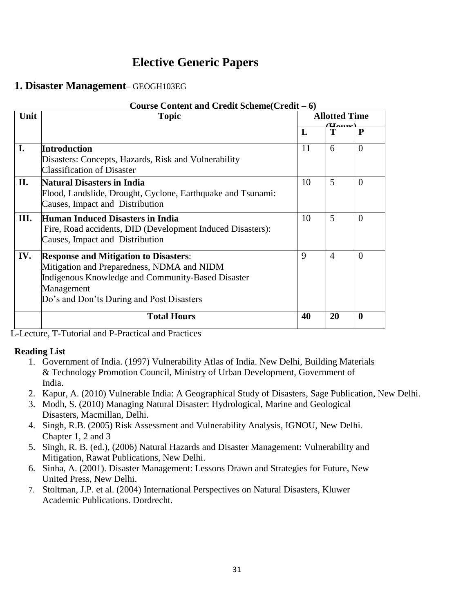# **Elective Generic Papers**

### **1. Disaster Management**– GEOGH103EG

|      | Course Content and Credit Scheme(Credit – 6)                                                                                                                                                               |    |                                                         |                  |  |  |
|------|------------------------------------------------------------------------------------------------------------------------------------------------------------------------------------------------------------|----|---------------------------------------------------------|------------------|--|--|
| Unit | <b>Topic</b>                                                                                                                                                                                               |    | <b>Allotted Time</b><br>$(\mathbf{U}_{\mathbf{Omega}})$ |                  |  |  |
|      |                                                                                                                                                                                                            | L  | Т                                                       | $\mathbf{P}$     |  |  |
| I.   | <b>Introduction</b><br>Disasters: Concepts, Hazards, Risk and Vulnerability<br><b>Classification of Disaster</b>                                                                                           | 11 | 6                                                       | $\Omega$         |  |  |
| II.  | Natural Disasters in India<br>Flood, Landslide, Drought, Cyclone, Earthquake and Tsunami:<br>Causes, Impact and Distribution                                                                               | 10 | 5                                                       | $\Omega$         |  |  |
| Ш.   | Human Induced Disasters in India<br>Fire, Road accidents, DID (Development Induced Disasters):<br>Causes, Impact and Distribution                                                                          | 10 | 5                                                       | $\theta$         |  |  |
| IV.  | <b>Response and Mitigation to Disasters:</b><br>Mitigation and Preparedness, NDMA and NIDM<br>Indigenous Knowledge and Community-Based Disaster<br>Management<br>Do's and Don'ts During and Post Disasters | 9  | $\overline{4}$                                          | $\Omega$         |  |  |
|      | <b>Total Hours</b>                                                                                                                                                                                         | 40 | 20                                                      | $\boldsymbol{0}$ |  |  |

L-Lecture, T-Tutorial and P-Practical and Practices

- 1. Government of India. (1997) Vulnerability Atlas of India. New Delhi, Building Materials & Technology Promotion Council, Ministry of Urban Development, Government of India.
- 2. Kapur, A. (2010) Vulnerable India: A Geographical Study of Disasters, Sage Publication, New Delhi.
- 3. Modh, S. (2010) Managing Natural Disaster: Hydrological, Marine and Geological Disasters, Macmillan, Delhi.
- 4. Singh, R.B. (2005) Risk Assessment and Vulnerability Analysis, IGNOU, New Delhi. Chapter 1, 2 and 3
- 5. Singh, R. B. (ed.), (2006) Natural Hazards and Disaster Management: Vulnerability and Mitigation, Rawat Publications, New Delhi.
- 6. Sinha, A. (2001). Disaster Management: Lessons Drawn and Strategies for Future, New United Press, New Delhi.
- 7. Stoltman, J.P. et al. (2004) International Perspectives on Natural Disasters, Kluwer Academic Publications. Dordrecht.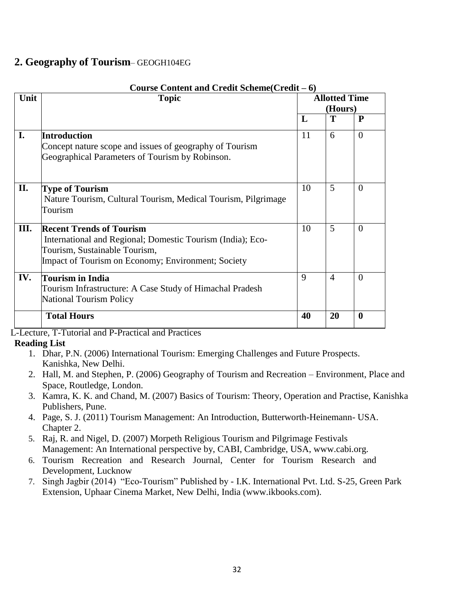### **2. Geography of Tourism**– GEOGH104EG

| Unit | <b>Topic</b>                                                                                                                                                                         | <b>Allotted Time</b> |                |                  |  |  |  |  |
|------|--------------------------------------------------------------------------------------------------------------------------------------------------------------------------------------|----------------------|----------------|------------------|--|--|--|--|
|      |                                                                                                                                                                                      |                      | (Hours)        |                  |  |  |  |  |
|      |                                                                                                                                                                                      | L                    | T              | $\mathbf{P}$     |  |  |  |  |
| I.   | <b>Introduction</b><br>Concept nature scope and issues of geography of Tourism<br>Geographical Parameters of Tourism by Robinson.                                                    | 11                   | 6              | $\Omega$         |  |  |  |  |
| II.  | <b>Type of Tourism</b><br>Nature Tourism, Cultural Tourism, Medical Tourism, Pilgrimage<br>Tourism                                                                                   | 10                   | 5              | $\theta$         |  |  |  |  |
| Ш.   | <b>Recent Trends of Tourism</b><br>International and Regional; Domestic Tourism (India); Eco-<br>Tourism, Sustainable Tourism,<br>Impact of Tourism on Economy; Environment; Society | 10                   | 5              | $\Omega$         |  |  |  |  |
| IV.  | <b>Tourism in India</b><br>Tourism Infrastructure: A Case Study of Himachal Pradesh<br><b>National Tourism Policy</b>                                                                | 9                    | $\overline{4}$ | $\theta$         |  |  |  |  |
|      | <b>Total Hours</b>                                                                                                                                                                   | 40                   | 20             | $\boldsymbol{0}$ |  |  |  |  |

#### **Course Content and Credit Scheme(Credit – 6)**

L-Lecture, T-Tutorial and P-Practical and Practices

- 1. Dhar, P.N. (2006) International Tourism: Emerging Challenges and Future Prospects. Kanishka, New Delhi.
- 2. Hall, M. and Stephen, P. (2006) Geography of Tourism and Recreation Environment, Place and Space, Routledge, London.
- 3. Kamra, K. K. and Chand, M. (2007) Basics of Tourism: Theory, Operation and Practise, Kanishka Publishers, Pune.
- 4. Page, S. J. (2011) Tourism Management: An Introduction, Butterworth-Heinemann- USA. Chapter 2.
- 5. Raj, R. and Nigel, D. (2007) Morpeth Religious Tourism and Pilgrimage Festivals Management: An International perspective by, CABI, Cambr[idge, USA, www.cabi.org.](http://www.cabi.org/)
- 6. Tourism Recreation and Research Journal, Center for Tourism Research and Development, Lucknow
- 7. Singh Jagbir (2014) "Eco-Tourism" Published by I.K. International Pvt. Ltd. S-25, Green Park Extension, Uphaar Cinema M[arket, New Delhi, India \(www.ikbooks.com\).](http://www.ikbooks.com/)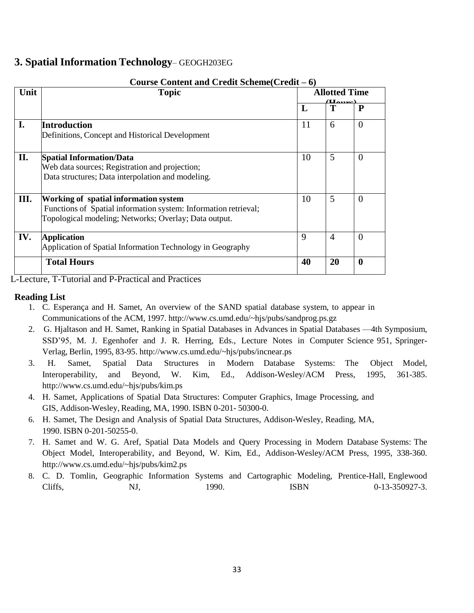### **3. Spatial Information Technology**– GEOGH203EG

| Unit | <b>Topic</b>                                                                                                                                                      |    | <b>Allotted Time</b> |                  |
|------|-------------------------------------------------------------------------------------------------------------------------------------------------------------------|----|----------------------|------------------|
|      |                                                                                                                                                                   | L  | $(L_{\rm{aune}})$    | $\mathbf{P}$     |
| I.   | Introduction<br>Definitions, Concept and Historical Development                                                                                                   | 11 | 6                    | $\theta$         |
| П.   | <b>Spatial Information/Data</b><br>Web data sources; Registration and projection;<br>Data structures; Data interpolation and modeling.                            | 10 | 5                    | $\Omega$         |
| Ш.   | Working of spatial information system<br>Functions of Spatial information system: Information retrieval;<br>Topological modeling; Networks; Overlay; Data output. | 10 | 5                    | $\theta$         |
| IV.  | <b>Application</b><br>Application of Spatial Information Technology in Geography                                                                                  | 9  | $\overline{4}$       | $\Omega$         |
|      | <b>Total Hours</b>                                                                                                                                                | 40 | 20                   | $\boldsymbol{0}$ |

#### **Course Content and Credit Scheme(Credit – 6)**

L-Lecture, T-Tutorial and P-Practical and Practices

- 1. C. Esperança and H. Samet, An overview of the SAND spatial database system, to appear in Communications of the ACM, 1997. <http://www.cs.umd.edu/~hjs/pubs/sandprog.ps.gz>
- 2. G. Hjaltason and H. Samet, Ranking in Spatial Databases in Advances in Spatial Databases —4th Symposium, SSD'95, M. J. Egenhofer and J. R. Herring, Eds., Lecture Notes in Computer Science 951, Springer-Verlag, Berlin, 1995, 83-95. <http://www.cs.umd.edu/~hjs/pubs/incnear.ps>
- 3. H. Samet, Spatial Data Structures in Modern Database Systems: The Object Model, Interoperability, and Beyond, W. Kim, Ed., Addison-Wesley/ACM Press, 1995, 361-385[.](http://www.cs.umd.edu/~hjs/pubs/kim.ps) <http://www.cs.umd.edu/~hjs/pubs/kim.ps>
- 4. H. Samet, Applications of Spatial Data Structures: Computer Graphics, Image Processing, and GIS, Addison-Wesley, Reading, MA, 1990. ISBN 0-201- 50300-0.
- 6. H. Samet, The Design and Analysis of Spatial Data Structures, Addison-Wesley, Reading, MA, 1990. ISBN 0-201-50255-0.
- 7. H. Samet and W. G. Aref, Spatial Data Models and Query Processing in Modern Database Systems: The Object Model, Interoperability, and Beyond, W. Kim, Ed., Addison-Wesley/ACM Press, 1995, 338-360. <http://www.cs.umd.edu/~hjs/pubs/kim2.ps>
- 8. C. D. Tomlin, Geographic Information Systems and Cartographic Modeling, Prentice-Hall, Englewood Cliffs, NJ, 1990. ISBN 0-13-350927-3.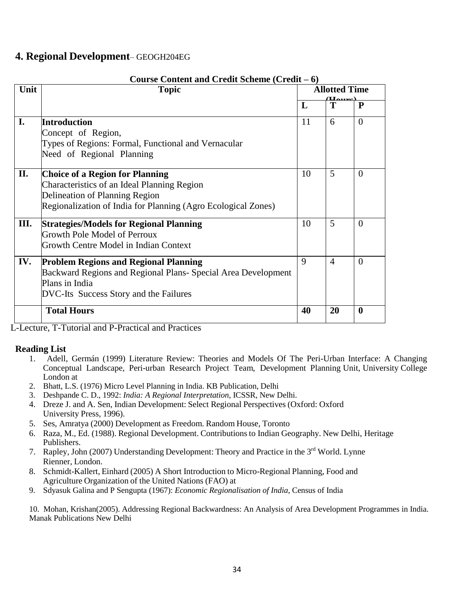### **4. Regional Development**– GEOGH204EG

|      | Course Content and Credit Scheme (Credit – 6)                                                                                                                                            |                      |                |                  |  |
|------|------------------------------------------------------------------------------------------------------------------------------------------------------------------------------------------|----------------------|----------------|------------------|--|
| Unit | <b>Topic</b>                                                                                                                                                                             | <b>Allotted Time</b> |                |                  |  |
|      |                                                                                                                                                                                          | L                    | T              | $\mathbf{P}$     |  |
| I.   | Introduction                                                                                                                                                                             | 11                   | 6              | $\Omega$         |  |
|      | Concept of Region,<br>Types of Regions: Formal, Functional and Vernacular<br>Need of Regional Planning                                                                                   |                      |                |                  |  |
|      |                                                                                                                                                                                          |                      |                |                  |  |
| II.  | <b>Choice of a Region for Planning</b><br>Characteristics of an Ideal Planning Region<br>Delineation of Planning Region<br>Regionalization of India for Planning (Agro Ecological Zones) | 10                   | 5              | $\theta$         |  |
| Ш.   | <b>Strategies/Models for Regional Planning</b><br><b>Growth Pole Model of Perroux</b><br>Growth Centre Model in Indian Context                                                           | 10                   | 5              | $\Omega$         |  |
| IV.  | <b>Problem Regions and Regional Planning</b><br>Backward Regions and Regional Plans- Special Area Development<br>Plans in India<br>DVC-Its Success Story and the Failures                | 9                    | $\overline{4}$ | $\Omega$         |  |
|      | <b>Total Hours</b>                                                                                                                                                                       | 40                   | 20             | $\boldsymbol{0}$ |  |

L-Lecture, T-Tutorial and P-Practical and Practices

#### **Reading List**

- 1. Adell, Germán (1999) Literature Review: Theories and Models Of The Peri-Urban Interface: A Changing Conceptual Landscape, Peri-urban Research Project Team, Development Planning Unit, University College London at
- 2. Bhatt, L.S. (1976) Micro Level Planning in India. KB Publication, Delhi
- 3. Deshpande C. D., 1992: *India: A Regional Interpretation*, ICSSR, New Delhi.
- 4. Dreze J. and A. Sen, Indian Development: Select Regional Perspectives (Oxford: Oxford University Press, 1996).
- 5. Ses, Amratya (2000) Development as Freedom. Random House, Toronto
- 6. Raza, M., Ed. (1988). Regional Development. Contributionsto Indian Geography. New Delhi, Heritage Publishers.
- 7. Rapley, John (2007) Understanding Development: Theory and Practice in the 3<sup>rd</sup> World. Lynne Rienner, London.
- 8. Schmidt-Kallert, Einhard (2005) A Short Introduction to Micro-Regional Planning, Food and Agriculture Organization of the United Nations (FAO) at
- 9. Sdyasuk Galina and P Sengupta (1967): *Economic Regionalisation of India*, Census of India

10. Mohan, Krishan(2005). Addressing Regional Backwardness: An Analysis of Area Development Programmes in India. Manak Publications New Delhi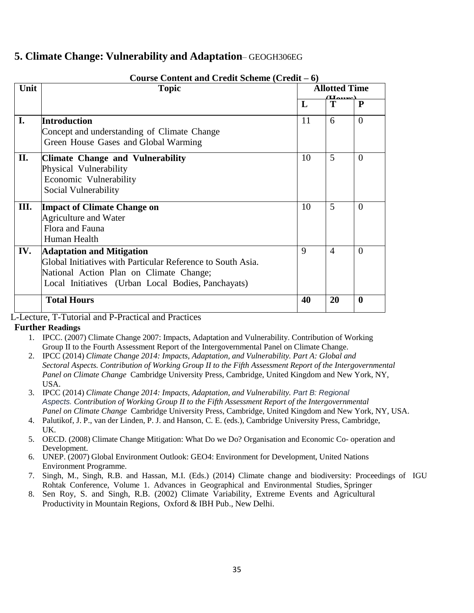### **5. Climate Change: Vulnerability and Adaptation**– GEOGH306EG

|      | Course Content and Credit Scheme (Credit $-6$ )                                                                                                                                                  |    |                        |           |  |  |
|------|--------------------------------------------------------------------------------------------------------------------------------------------------------------------------------------------------|----|------------------------|-----------|--|--|
| Unit | <b>Topic</b>                                                                                                                                                                                     |    | <b>Allotted Time</b>   |           |  |  |
|      |                                                                                                                                                                                                  | L  | $(L_{\rm Lumcl})$<br>T | ${\bf P}$ |  |  |
| I.   | Introduction<br>Concept and understanding of Climate Change<br>Green House Gases and Global Warming                                                                                              | 11 | 6                      | $\Omega$  |  |  |
| П.   | <b>Climate Change and Vulnerability</b><br>Physical Vulnerability<br>Economic Vulnerability<br>Social Vulnerability                                                                              | 10 | 5                      | $\Omega$  |  |  |
| Ш.   | <b>Impact of Climate Change on</b><br><b>Agriculture and Water</b><br>Flora and Fauna<br>Human Health                                                                                            | 10 | 5                      | $\Omega$  |  |  |
| IV.  | <b>Adaptation and Mitigation</b><br>Global Initiatives with Particular Reference to South Asia.<br>National Action Plan on Climate Change;<br>Local Initiatives (Urban Local Bodies, Panchayats) | 9  | $\overline{4}$         | $\Omega$  |  |  |
|      | <b>Total Hours</b>                                                                                                                                                                               | 40 | 20                     | $\bf{0}$  |  |  |

### **Course Content and Credit Scheme (Credit – 6)**

L-Lecture, T-Tutorial and P-Practical and Practices

#### **Further Readings**

- 1. IPCC. (2007) Climate Change 2007: Impacts, Adaptation and Vulnerability. Contribution of Working Group II to the Fourth Assessment Report of the Intergovernmental Panel on Climate Change.
- 2. IPCC (2014) *Climate Change 2014: Impacts, Adaptation, and Vulnerability. Part A: Global and Sectoral Aspects. Contribution of Working Group II to the Fifth Assessment Report of the Intergovernmental Panel on Climate Change* Cambridge University Press, Cambridge, United Kingdom and New York, NY, USA.
- 3. IPCC (2014) *Climate Change 2014: Impacts, Adaptation, and Vulnerability. Part B: Regional Aspects. Contribution of Working Group II to the Fifth Assessment Report of the Intergovernmental Panel on Climate Change* Cambridge University Press, Cambridge, United Kingdom and New York, NY, USA.
- 4. Palutikof, J. P., van der Linden, P. J. and Hanson, C. E. (eds.), Cambridge University Press, Cambridge, UK.
- 5. OECD. (2008) Climate Change Mitigation: What Do we Do? Organisation and Economic Co- operation and Development.
- 6. UNEP. (2007) Global Environment Outlook: GEO4: Environment for Development, United Nations Environment Programme.
- 7. Singh, M., Singh, R.B. and Hassan, M.I. (Eds.) (2014) Climate change and biodiversity: Proceedings of IGU Rohtak Conference, Volume 1. Advances in Geographical and Environmental Studies, Springer
- 8. Sen Roy, S. and Singh, R.B. (2002) Climate Variability, Extreme Events and Agricultural Productivity in Mountain Regions, Oxford & IBH Pub., New Delhi.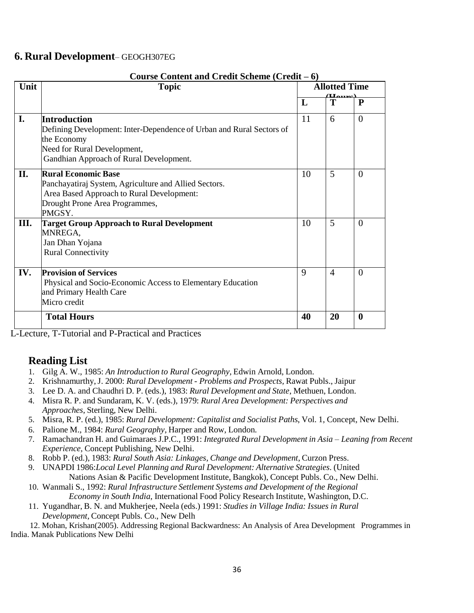### **6. Rural Development**– GEOGH307EG

| Course Content and Credit Scheme (Credit – 6) |                                                                      |                             |                |                  |  |
|-----------------------------------------------|----------------------------------------------------------------------|-----------------------------|----------------|------------------|--|
| Unit                                          | <b>Topic</b>                                                         | <b>Allotted Time</b>        |                |                  |  |
|                                               |                                                                      | $(L_{\rm{aump}})$<br>T<br>L |                | ${\bf P}$        |  |
|                                               |                                                                      |                             |                |                  |  |
| I.                                            | <b>Introduction</b>                                                  | 11                          | 6              | $\theta$         |  |
|                                               | Defining Development: Inter-Dependence of Urban and Rural Sectors of |                             |                |                  |  |
|                                               | the Economy                                                          |                             |                |                  |  |
|                                               | Need for Rural Development,                                          |                             |                |                  |  |
|                                               | Gandhian Approach of Rural Development.                              |                             |                |                  |  |
|                                               |                                                                      |                             |                |                  |  |
| II.                                           | <b>Rural Economic Base</b>                                           | 10                          | 5              | $\Omega$         |  |
|                                               | Panchayatiraj System, Agriculture and Allied Sectors.                |                             |                |                  |  |
|                                               | Area Based Approach to Rural Development:                            |                             |                |                  |  |
|                                               | Drought Prone Area Programmes,                                       |                             |                |                  |  |
|                                               | PMGSY.                                                               |                             |                |                  |  |
| III.                                          | <b>Target Group Approach to Rural Development</b>                    | 10                          | 5              | $\theta$         |  |
|                                               | MNREGA,                                                              |                             |                |                  |  |
|                                               | Jan Dhan Yojana                                                      |                             |                |                  |  |
|                                               | <b>Rural Connectivity</b>                                            |                             |                |                  |  |
|                                               |                                                                      |                             |                |                  |  |
| IV.                                           | <b>Provision of Services</b>                                         | 9                           | $\overline{4}$ | $\Omega$         |  |
|                                               | Physical and Socio-Economic Access to Elementary Education           |                             |                |                  |  |
|                                               | and Primary Health Care                                              |                             |                |                  |  |
|                                               | Micro credit                                                         |                             |                |                  |  |
|                                               | <b>Total Hours</b>                                                   | 40                          | 20             | $\boldsymbol{0}$ |  |
|                                               |                                                                      |                             |                |                  |  |

#### **Course Content and Credit Scheme (Credit – 6)**

L-Lecture, T-Tutorial and P-Practical and Practices

### **Reading List**

- 1. Gilg A. W., 1985: *An Introduction to Rural Geography,* Edwin Arnold, London.
- 2. Krishnamurthy,J. 2000: *Rural Development - Problems and Prospects,* Rawat Publs., Jaipur
- 3. Lee D. A. and Chaudhri D. P. (eds.), 1983: *Rural Development and State*, Methuen, London.
- 4. Misra R. P. and Sundaram, K. V. (eds.), 1979: *Rural Area Development: Perspectives and Approaches*, Sterling, New Delhi.
- 5. Misra, R. P. (ed.), 1985: *Rural Development: Capitalist and Socialist Paths*, Vol. 1, Concept, New Delhi.
- 6. Palione M., 1984: *Rural Geography*, Harper and Row, London.
- 7. Ramachandran H. and Guimaraes J.P.C., 1991: *Integrated Rural Development in Asia – Leaning from Recent Experience,* Concept Publishing, New Delhi.
- 8. Robb P. (ed.), 1983: *Rural South Asia: Linkages, Change and Development*, Curzon Press.
- 9. UNAPDI 1986:*Local Level Planning and Rural Development: Alternative Strategies*. (United Nations Asian & Pacific Development Institute, Bangkok), Concept Publs. Co., New Delhi.
- 10. Wanmali S., 1992: *Rural Infrastructure Settlement Systems and Development of the Regional Economy in South India*, International Food Policy Research Institute, Washington, D.C.
- 11. Yugandhar, B. N. and Mukherjee, Neela (eds.) 1991: *Studies in Village India: Issues in Rural Development,* Concept Publs. Co., New Delh

12. Mohan, Krishan(2005). Addressing Regional Backwardness: An Analysis of Area Development Programmes in India. Manak Publications New Delhi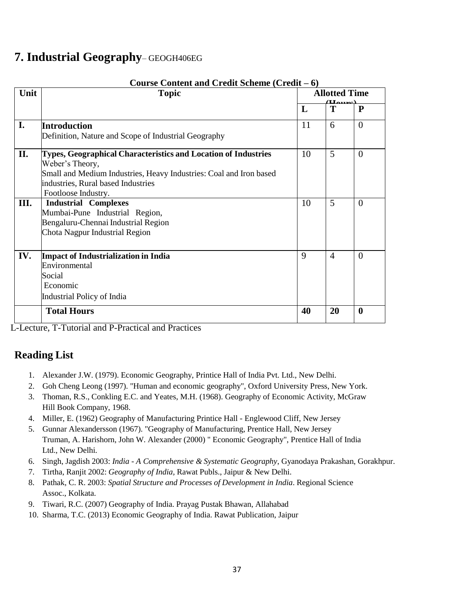## **7. Industrial Geography**– GEOGH406EG

|      | Course Content and Credit Scheme (Credit – 6)                      |    |                                           |                  |  |
|------|--------------------------------------------------------------------|----|-------------------------------------------|------------------|--|
| Unit | <b>Topic</b>                                                       |    | <b>Allotted Time</b><br>$(L_{\rm{aump}})$ |                  |  |
|      |                                                                    | L  | T                                         | $\mathbf{P}$     |  |
| I.   | <b>Introduction</b>                                                | 11 | 6                                         | $\theta$         |  |
|      | Definition, Nature and Scope of Industrial Geography               |    |                                           |                  |  |
| II.  | Types, Geographical Characteristics and Location of Industries     | 10 | 5                                         | $\theta$         |  |
|      | Weber's Theory,                                                    |    |                                           |                  |  |
|      | Small and Medium Industries, Heavy Industries: Coal and Iron based |    |                                           |                  |  |
|      | industries, Rural based Industries                                 |    |                                           |                  |  |
|      | Footloose Industry.                                                |    |                                           |                  |  |
| Ш.   | <b>Industrial Complexes</b>                                        | 10 | 5                                         | $\theta$         |  |
|      | Mumbai-Pune Industrial Region,                                     |    |                                           |                  |  |
|      | Bengaluru-Chennai Industrial Region                                |    |                                           |                  |  |
|      | Chota Nagpur Industrial Region                                     |    |                                           |                  |  |
|      |                                                                    |    |                                           |                  |  |
| IV.  | <b>Impact of Industrialization in India</b>                        | 9  | $\overline{4}$                            | $\theta$         |  |
|      | Environmental                                                      |    |                                           |                  |  |
|      | Social                                                             |    |                                           |                  |  |
|      | Economic                                                           |    |                                           |                  |  |
|      | Industrial Policy of India                                         |    |                                           |                  |  |
|      | <b>Total Hours</b>                                                 | 40 | 20                                        | $\boldsymbol{0}$ |  |

L-Lecture, T-Tutorial and P-Practical and Practices

- 1. Alexander J.W. (1979). Economic Geography, Printice Hall of India Pvt. Ltd., New Delhi.
- 2. Goh Cheng Leong (1997). "Human and economic geography", Oxford University Press, New York.
- 3. Thoman, R.S., Conkling E.C. and Yeates, M.H. (1968). Geography of Economic Activity, McGraw Hill Book Company, 1968.
- 4. Miller, E. (1962) Geography of Manufacturing Printice Hall Englewood Cliff, New Jersey
- 5. Gunnar Alexandersson (1967). "Geography of Manufacturing, Prentice Hall, New Jersey Truman, A. Harishorn, John W. Alexander (2000) " Economic Geography", Prentice Hall of India Ltd., New Delhi.
- 6. Singh, Jagdish 2003: *India - A Comprehensive & Systematic Geography*, Gyanodaya Prakashan, Gorakhpur.
- 7. Tirtha, Ranjit 2002: *Geography of India,* Rawat Publs., Jaipur & New Delhi.
- 8. Pathak, C. R. 2003: *Spatial Structure and Processes of Development in India*. Regional Science Assoc., Kolkata.
- 9. Tiwari, R.C. (2007) Geography of India. Prayag Pustak Bhawan, Allahabad
- 10. Sharma, T.C. (2013) Economic Geography of India. Rawat Publication, Jaipur